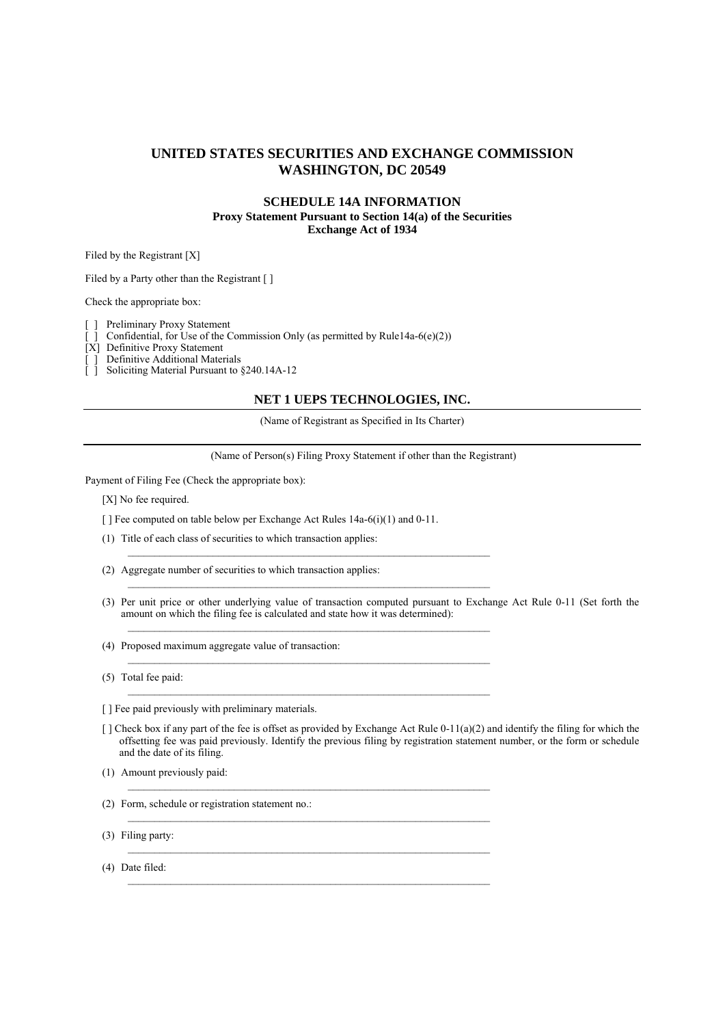### **UNITED STATES SECURITIES AND EXCHANGE COMMISSION WASHINGTON, DC 20549**

### **SCHEDULE 14A INFORMATION Proxy Statement Pursuant to Section 14(a) of the Securities Exchange Act of 1934**

Filed by the Registrant [X]

Filed by a Party other than the Registrant [ ]

Check the appropriate box:

[ ] Preliminary Proxy Statement

Confidential, for Use of the Commission Only (as permitted by Rule14a-6(e)(2)) [ ] Confidential, for Use of the Con<br>[X] Definitive Proxy Statement<br>[ ] Definitive Additional Materials

[ ] Definitive Additional Materials

[ ] Soliciting Material Pursuant to §240.14A-12

#### **NET 1 UEPS TECHNOLOGIES, INC.**

(Name of Registrant as Specified in Its Charter)

(Name of Person(s) Filing Proxy Statement if other than the Registrant)

Payment of Filing Fee (Check the appropriate box):

[X] No fee required.

[ ] Fee computed on table below per Exchange Act Rules 14a-6(i)(1) and 0-11.

 $\mathcal{L}_\text{max}$ 

 $\mathcal{L}_\text{max}$ 

 $\mathcal{L}_\mathcal{L} = \{ \mathcal{L}_\mathcal{L} = \{ \mathcal{L}_\mathcal{L} = \{ \mathcal{L}_\mathcal{L} = \{ \mathcal{L}_\mathcal{L} = \{ \mathcal{L}_\mathcal{L} = \{ \mathcal{L}_\mathcal{L} = \{ \mathcal{L}_\mathcal{L} = \{ \mathcal{L}_\mathcal{L} = \{ \mathcal{L}_\mathcal{L} = \{ \mathcal{L}_\mathcal{L} = \{ \mathcal{L}_\mathcal{L} = \{ \mathcal{L}_\mathcal{L} = \{ \mathcal{L}_\mathcal{L} = \{ \mathcal{L}_\mathcal{$ 

 $\mathcal{L}_\text{max}$ 

(1) Title of each class of securities to which transaction applies:

(2) Aggregate number of securities to which transaction applies:

(3) Per unit price or other underlying value of transaction computed pursuant to Exchange Act Rule 0-11 (Set forth the amount on which the filing fee is calculated and state how it was determined):

(4) Proposed maximum aggregate value of transaction:

(5) Total fee paid:

[ ] Fee paid previously with preliminary materials.

 $\lceil$  ] Check box if any part of the fee is offset as provided by Exchange Act Rule 0-11(a)(2) and identify the filing for which the offsetting fee was paid previously. Identify the previous filing by registration statement number, or the form or schedule and the date of its filing.

(1) Amount previously paid:

(2) Form, schedule or registration statement no.:

(3) Filing party:

(4) Date filed: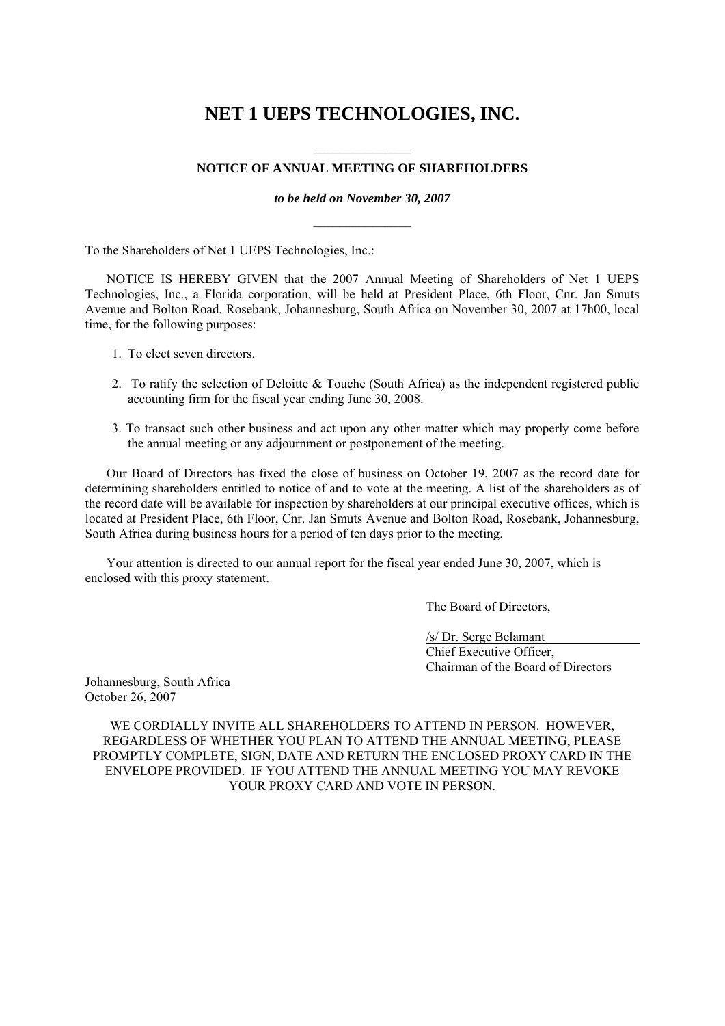# **NET 1 UEPS TECHNOLOGIES, INC.**

## $\frac{1}{2}$ **NOTICE OF ANNUAL MEETING OF SHAREHOLDERS**

*to be held on November 30, 2007*   $\frac{1}{2}$ 

To the Shareholders of Net 1 UEPS Technologies, Inc.:

NOTICE IS HEREBY GIVEN that the 2007 Annual Meeting of Shareholders of Net 1 UEPS Technologies, Inc., a Florida corporation, will be held at President Place, 6th Floor, Cnr. Jan Smuts Avenue and Bolton Road, Rosebank, Johannesburg, South Africa on November 30, 2007 at 17h00, local time, for the following purposes:

- 1. To elect seven directors.
- 2. To ratify the selection of Deloitte  $\&$  Touche (South Africa) as the independent registered public accounting firm for the fiscal year ending June 30, 2008.
- 3. To transact such other business and act upon any other matter which may properly come before the annual meeting or any adjournment or postponement of the meeting.

Our Board of Directors has fixed the close of business on October 19, 2007 as the record date for determining shareholders entitled to notice of and to vote at the meeting. A list of the shareholders as of the record date will be available for inspection by shareholders at our principal executive offices, which is located at President Place, 6th Floor, Cnr. Jan Smuts Avenue and Bolton Road, Rosebank, Johannesburg, South Africa during business hours for a period of ten days prior to the meeting.

Your attention is directed to our annual report for the fiscal year ended June 30, 2007, which is enclosed with this proxy statement.

The Board of Directors,

 /s/ Dr. Serge Belamant Chief Executive Officer, Chairman of the Board of Directors

Johannesburg, South Africa October 26, 2007

WE CORDIALLY INVITE ALL SHAREHOLDERS TO ATTEND IN PERSON. HOWEVER, REGARDLESS OF WHETHER YOU PLAN TO ATTEND THE ANNUAL MEETING, PLEASE PROMPTLY COMPLETE, SIGN, DATE AND RETURN THE ENCLOSED PROXY CARD IN THE ENVELOPE PROVIDED. IF YOU ATTEND THE ANNUAL MEETING YOU MAY REVOKE YOUR PROXY CARD AND VOTE IN PERSON.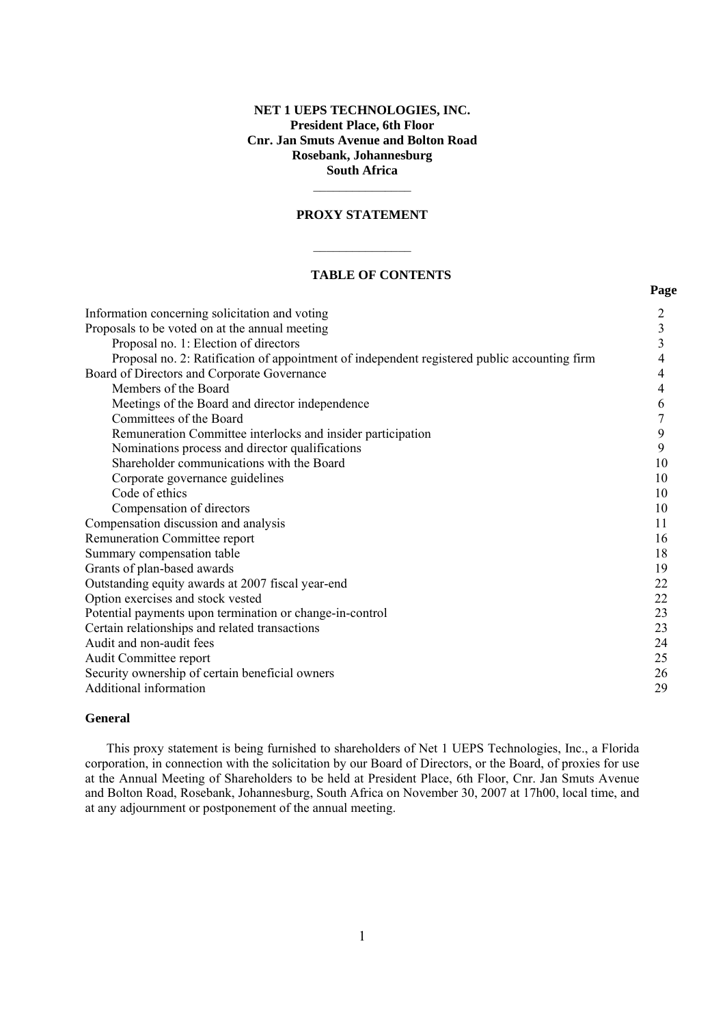### **NET 1 UEPS TECHNOLOGIES, INC. President Place, 6th Floor Cnr. Jan Smuts Avenue and Bolton Road Rosebank, Johannesburg South Africa**

#### **PROXY STATEMENT**

 $\frac{1}{2}$ 

 $\frac{1}{2}$ 

### **TABLE OF CONTENTS**

*Page* 

| Information concerning solicitation and voting                                               |                |
|----------------------------------------------------------------------------------------------|----------------|
| Proposals to be voted on at the annual meeting                                               | 3              |
| Proposal no. 1: Election of directors                                                        | $\overline{3}$ |
| Proposal no. 2: Ratification of appointment of independent registered public accounting firm | 4              |
| Board of Directors and Corporate Governance                                                  | 4              |
| Members of the Board                                                                         | 4              |
| Meetings of the Board and director independence                                              | 6              |
| Committees of the Board                                                                      | 7              |
| Remuneration Committee interlocks and insider participation                                  | 9              |
| Nominations process and director qualifications                                              | 9              |
| Shareholder communications with the Board                                                    | 10             |
| Corporate governance guidelines                                                              | 10             |
| Code of ethics                                                                               | 10             |
| Compensation of directors                                                                    | 10             |
| Compensation discussion and analysis                                                         | 11             |
| Remuneration Committee report                                                                | 16             |
| Summary compensation table                                                                   | 18             |
| Grants of plan-based awards                                                                  | 19             |
| Outstanding equity awards at 2007 fiscal year-end                                            | 22             |
| Option exercises and stock vested                                                            | 22             |
| Potential payments upon termination or change-in-control                                     | 23             |
| Certain relationships and related transactions                                               | 23             |
| Audit and non-audit fees                                                                     | 24             |
| Audit Committee report                                                                       | 25             |
| Security ownership of certain beneficial owners                                              | 26             |
| Additional information                                                                       | 29             |
|                                                                                              |                |

### **General**

This proxy statement is being furnished to shareholders of Net 1 UEPS Technologies, Inc., a Florida corporation, in connection with the solicitation by our Board of Directors, or the Board, of proxies for use at the Annual Meeting of Shareholders to be held at President Place, 6th Floor, Cnr. Jan Smuts Avenue and Bolton Road, Rosebank, Johannesburg, South Africa on November 30, 2007 at 17h00, local time, and at any adjournment or postponement of the annual meeting.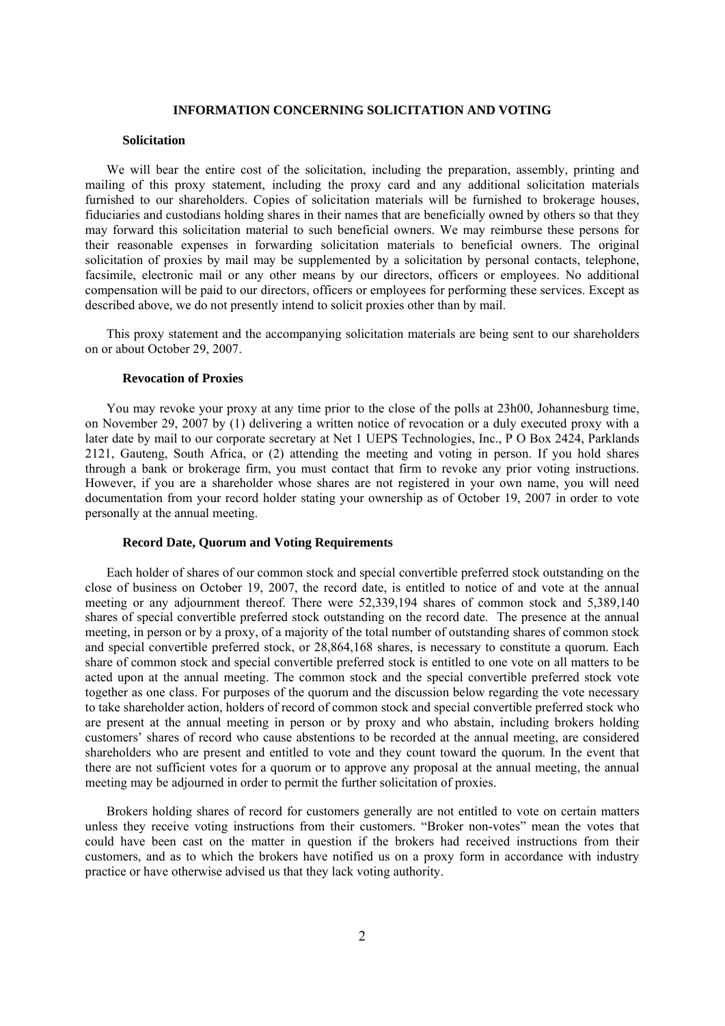### **INFORMATION CONCERNING SOLICITATION AND VOTING**

#### **Solicitation**

We will bear the entire cost of the solicitation, including the preparation, assembly, printing and mailing of this proxy statement, including the proxy card and any additional solicitation materials furnished to our shareholders. Copies of solicitation materials will be furnished to brokerage houses, fiduciaries and custodians holding shares in their names that are beneficially owned by others so that they may forward this solicitation material to such beneficial owners. We may reimburse these persons for their reasonable expenses in forwarding solicitation materials to beneficial owners. The original solicitation of proxies by mail may be supplemented by a solicitation by personal contacts, telephone, facsimile, electronic mail or any other means by our directors, officers or employees. No additional compensation will be paid to our directors, officers or employees for performing these services. Except as described above, we do not presently intend to solicit proxies other than by mail.

This proxy statement and the accompanying solicitation materials are being sent to our shareholders on or about October 29, 2007.

### **Revocation of Proxies**

You may revoke your proxy at any time prior to the close of the polls at 23h00, Johannesburg time, on November 29, 2007 by (1) delivering a written notice of revocation or a duly executed proxy with a later date by mail to our corporate secretary at Net 1 UEPS Technologies, Inc., P O Box 2424, Parklands 2121, Gauteng, South Africa, or (2) attending the meeting and voting in person. If you hold shares through a bank or brokerage firm, you must contact that firm to revoke any prior voting instructions. However, if you are a shareholder whose shares are not registered in your own name, you will need documentation from your record holder stating your ownership as of October 19, 2007 in order to vote personally at the annual meeting.

### **Record Date, Quorum and Voting Requirements**

Each holder of shares of our common stock and special convertible preferred stock outstanding on the close of business on October 19, 2007, the record date, is entitled to notice of and vote at the annual meeting or any adjournment thereof. There were 52,339,194 shares of common stock and 5,389,140 shares of special convertible preferred stock outstanding on the record date. The presence at the annual meeting, in person or by a proxy, of a majority of the total number of outstanding shares of common stock and special convertible preferred stock, or 28,864,168 shares, is necessary to constitute a quorum. Each share of common stock and special convertible preferred stock is entitled to one vote on all matters to be acted upon at the annual meeting. The common stock and the special convertible preferred stock vote together as one class. For purposes of the quorum and the discussion below regarding the vote necessary to take shareholder action, holders of record of common stock and special convertible preferred stock who are present at the annual meeting in person or by proxy and who abstain, including brokers holding customers' shares of record who cause abstentions to be recorded at the annual meeting, are considered shareholders who are present and entitled to vote and they count toward the quorum. In the event that there are not sufficient votes for a quorum or to approve any proposal at the annual meeting, the annual meeting may be adjourned in order to permit the further solicitation of proxies.

Brokers holding shares of record for customers generally are not entitled to vote on certain matters unless they receive voting instructions from their customers. "Broker non-votes" mean the votes that could have been cast on the matter in question if the brokers had received instructions from their customers, and as to which the brokers have notified us on a proxy form in accordance with industry practice or have otherwise advised us that they lack voting authority.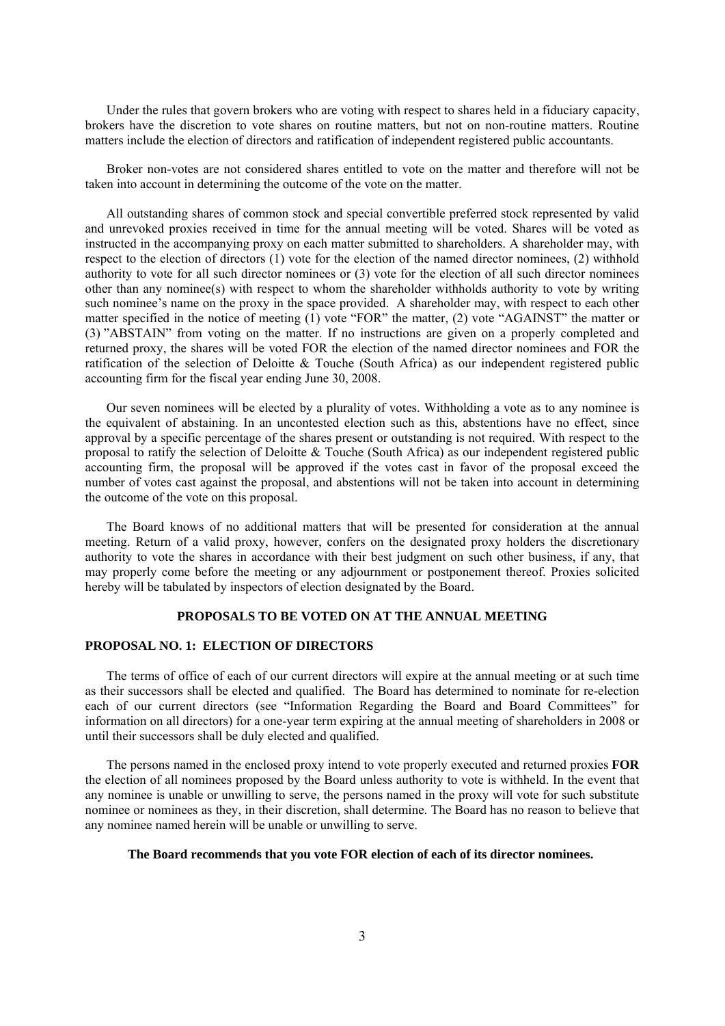Under the rules that govern brokers who are voting with respect to shares held in a fiduciary capacity, brokers have the discretion to vote shares on routine matters, but not on non-routine matters. Routine matters include the election of directors and ratification of independent registered public accountants.

Broker non-votes are not considered shares entitled to vote on the matter and therefore will not be taken into account in determining the outcome of the vote on the matter.

All outstanding shares of common stock and special convertible preferred stock represented by valid and unrevoked proxies received in time for the annual meeting will be voted. Shares will be voted as instructed in the accompanying proxy on each matter submitted to shareholders. A shareholder may, with respect to the election of directors (1) vote for the election of the named director nominees, (2) withhold authority to vote for all such director nominees or (3) vote for the election of all such director nominees other than any nominee(s) with respect to whom the shareholder withholds authority to vote by writing such nominee's name on the proxy in the space provided. A shareholder may, with respect to each other matter specified in the notice of meeting (1) vote "FOR" the matter, (2) vote "AGAINST" the matter or (3) "ABSTAIN" from voting on the matter. If no instructions are given on a properly completed and returned proxy, the shares will be voted FOR the election of the named director nominees and FOR the ratification of the selection of Deloitte & Touche (South Africa) as our independent registered public accounting firm for the fiscal year ending June 30, 2008.

Our seven nominees will be elected by a plurality of votes. Withholding a vote as to any nominee is the equivalent of abstaining. In an uncontested election such as this, abstentions have no effect, since approval by a specific percentage of the shares present or outstanding is not required. With respect to the proposal to ratify the selection of Deloitte & Touche (South Africa) as our independent registered public accounting firm, the proposal will be approved if the votes cast in favor of the proposal exceed the number of votes cast against the proposal, and abstentions will not be taken into account in determining the outcome of the vote on this proposal.

The Board knows of no additional matters that will be presented for consideration at the annual meeting. Return of a valid proxy, however, confers on the designated proxy holders the discretionary authority to vote the shares in accordance with their best judgment on such other business, if any, that may properly come before the meeting or any adjournment or postponement thereof. Proxies solicited hereby will be tabulated by inspectors of election designated by the Board.

#### **PROPOSALS TO BE VOTED ON AT THE ANNUAL MEETING**

### **PROPOSAL NO. 1: ELECTION OF DIRECTORS**

The terms of office of each of our current directors will expire at the annual meeting or at such time as their successors shall be elected and qualified. The Board has determined to nominate for re-election each of our current directors (see "Information Regarding the Board and Board Committees" for information on all directors) for a one-year term expiring at the annual meeting of shareholders in 2008 or until their successors shall be duly elected and qualified.

The persons named in the enclosed proxy intend to vote properly executed and returned proxies **FOR** the election of all nominees proposed by the Board unless authority to vote is withheld. In the event that any nominee is unable or unwilling to serve, the persons named in the proxy will vote for such substitute nominee or nominees as they, in their discretion, shall determine. The Board has no reason to believe that any nominee named herein will be unable or unwilling to serve.

#### **The Board recommends that you vote FOR election of each of its director nominees.**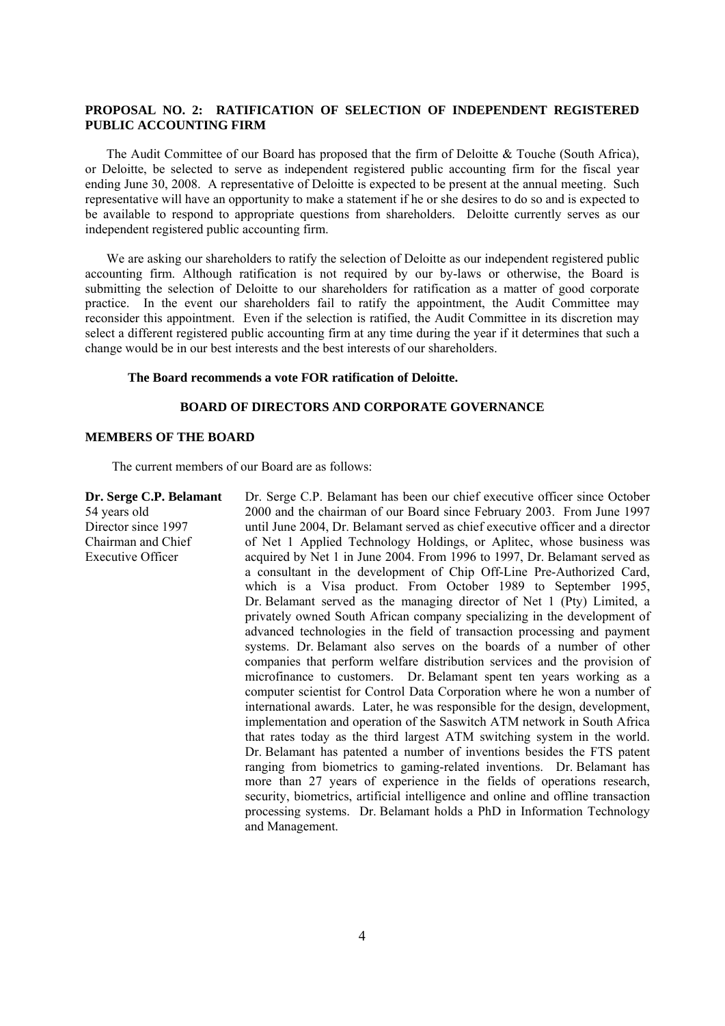### **PROPOSAL NO. 2: RATIFICATION OF SELECTION OF INDEPENDENT REGISTERED PUBLIC ACCOUNTING FIRM**

The Audit Committee of our Board has proposed that the firm of Deloitte  $\&$  Touche (South Africa), or Deloitte, be selected to serve as independent registered public accounting firm for the fiscal year ending June 30, 2008. A representative of Deloitte is expected to be present at the annual meeting. Such representative will have an opportunity to make a statement if he or she desires to do so and is expected to be available to respond to appropriate questions from shareholders. Deloitte currently serves as our independent registered public accounting firm.

We are asking our shareholders to ratify the selection of Deloitte as our independent registered public accounting firm. Although ratification is not required by our by-laws or otherwise, the Board is submitting the selection of Deloitte to our shareholders for ratification as a matter of good corporate practice. In the event our shareholders fail to ratify the appointment, the Audit Committee may reconsider this appointment. Even if the selection is ratified, the Audit Committee in its discretion may select a different registered public accounting firm at any time during the year if it determines that such a change would be in our best interests and the best interests of our shareholders.

#### **The Board recommends a vote FOR ratification of Deloitte.**

### **BOARD OF DIRECTORS AND CORPORATE GOVERNANCE**

#### **MEMBERS OF THE BOARD**

The current members of our Board are as follows:

**Dr. Serge C.P. Belamant**  54 years old Director since 1997 Chairman and Chief

Executive Officer

Dr. Serge C.P. Belamant has been our chief executive officer since October 2000 and the chairman of our Board since February 2003. From June 1997 until June 2004, Dr. Belamant served as chief executive officer and a director of Net 1 Applied Technology Holdings, or Aplitec, whose business was acquired by Net 1 in June 2004. From 1996 to 1997, Dr. Belamant served as a consultant in the development of Chip Off-Line Pre-Authorized Card, which is a Visa product. From October 1989 to September 1995, Dr. Belamant served as the managing director of Net 1 (Pty) Limited, a privately owned South African company specializing in the development of advanced technologies in the field of transaction processing and payment systems. Dr. Belamant also serves on the boards of a number of other companies that perform welfare distribution services and the provision of microfinance to customers. Dr. Belamant spent ten years working as a computer scientist for Control Data Corporation where he won a number of international awards. Later, he was responsible for the design, development, implementation and operation of the Saswitch ATM network in South Africa that rates today as the third largest ATM switching system in the world. Dr. Belamant has patented a number of inventions besides the FTS patent ranging from biometrics to gaming-related inventions. Dr. Belamant has more than 27 years of experience in the fields of operations research, security, biometrics, artificial intelligence and online and offline transaction processing systems. Dr. Belamant holds a PhD in Information Technology and Management.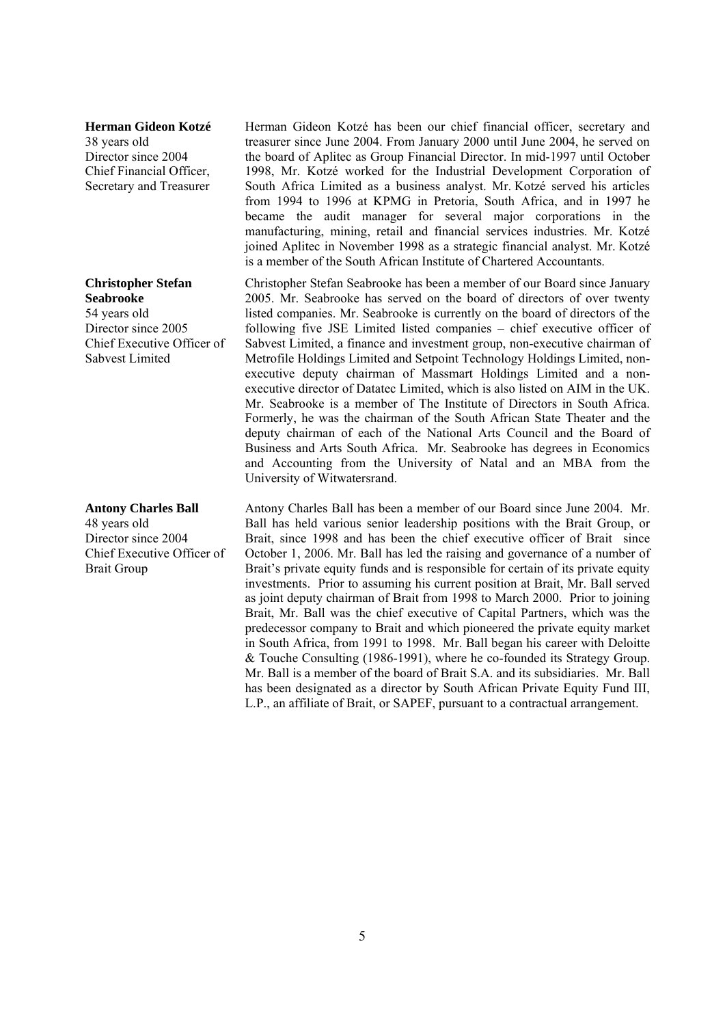#### **Herman Gideon Kotzé**

38 years old Director since 2004 Chief Financial Officer, Secretary and Treasurer

**Christopher Stefan Seabrooke**  54 years old Director since 2005 Chief Executive Officer of Sabvest Limited

**Antony Charles Ball**  48 years old Director since 2004 Chief Executive Officer of Brait Group

Herman Gideon Kotzé has been our chief financial officer, secretary and treasurer since June 2004. From January 2000 until June 2004, he served on the board of Aplitec as Group Financial Director. In mid-1997 until October 1998, Mr. Kotzé worked for the Industrial Development Corporation of South Africa Limited as a business analyst. Mr. Kotzé served his articles from 1994 to 1996 at KPMG in Pretoria, South Africa, and in 1997 he became the audit manager for several major corporations in the manufacturing, mining, retail and financial services industries. Mr. Kotzé joined Aplitec in November 1998 as a strategic financial analyst. Mr. Kotzé is a member of the South African Institute of Chartered Accountants.

Christopher Stefan Seabrooke has been a member of our Board since January 2005. Mr. Seabrooke has served on the board of directors of over twenty listed companies. Mr. Seabrooke is currently on the board of directors of the following five JSE Limited listed companies – chief executive officer of Sabvest Limited, a finance and investment group, non-executive chairman of Metrofile Holdings Limited and Setpoint Technology Holdings Limited, nonexecutive deputy chairman of Massmart Holdings Limited and a nonexecutive director of Datatec Limited, which is also listed on AIM in the UK. Mr. Seabrooke is a member of The Institute of Directors in South Africa. Formerly, he was the chairman of the South African State Theater and the deputy chairman of each of the National Arts Council and the Board of Business and Arts South Africa. Mr. Seabrooke has degrees in Economics and Accounting from the University of Natal and an MBA from the University of Witwatersrand.

Antony Charles Ball has been a member of our Board since June 2004. Mr. Ball has held various senior leadership positions with the Brait Group, or Brait, since 1998 and has been the chief executive officer of Brait since October 1, 2006. Mr. Ball has led the raising and governance of a number of Brait's private equity funds and is responsible for certain of its private equity investments. Prior to assuming his current position at Brait, Mr. Ball served as joint deputy chairman of Brait from 1998 to March 2000. Prior to joining Brait, Mr. Ball was the chief executive of Capital Partners, which was the predecessor company to Brait and which pioneered the private equity market in South Africa, from 1991 to 1998. Mr. Ball began his career with Deloitte & Touche Consulting (1986-1991), where he co-founded its Strategy Group. Mr. Ball is a member of the board of Brait S.A. and its subsidiaries. Mr. Ball has been designated as a director by South African Private Equity Fund III, L.P., an affiliate of Brait, or SAPEF, pursuant to a contractual arrangement.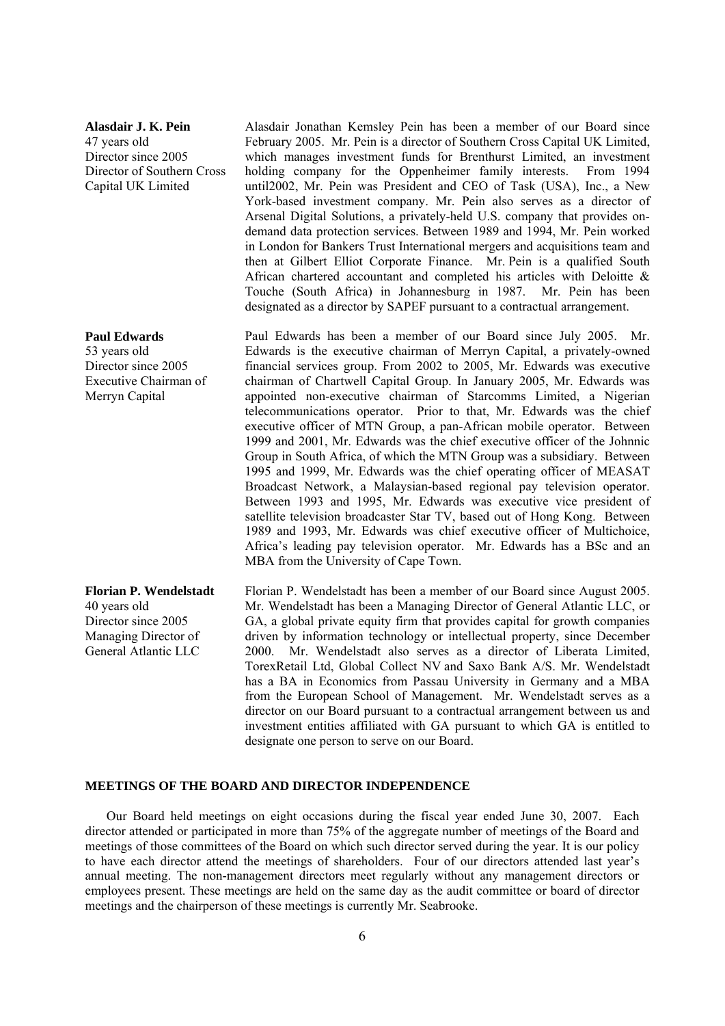#### **Alasdair J. K. Pein**

47 years old Director since 2005 Director of Southern Cross Capital UK Limited

#### **Paul Edwards**

53 years old Director since 2005 Executive Chairman of Merryn Capital

**Florian P. Wendelstadt**  40 years old Director since 2005 Managing Director of General Atlantic LLC

Alasdair Jonathan Kemsley Pein has been a member of our Board since February 2005. Mr. Pein is a director of Southern Cross Capital UK Limited, which manages investment funds for Brenthurst Limited, an investment holding company for the Oppenheimer family interests. From 1994 until2002, Mr. Pein was President and CEO of Task (USA), Inc., a New York-based investment company. Mr. Pein also serves as a director of Arsenal Digital Solutions, a privately-held U.S. company that provides ondemand data protection services. Between 1989 and 1994, Mr. Pein worked in London for Bankers Trust International mergers and acquisitions team and then at Gilbert Elliot Corporate Finance. Mr. Pein is a qualified South African chartered accountant and completed his articles with Deloitte & Touche (South Africa) in Johannesburg in 1987. Mr. Pein has been designated as a director by SAPEF pursuant to a contractual arrangement.

Paul Edwards has been a member of our Board since July 2005. Mr. Edwards is the executive chairman of Merryn Capital, a privately-owned financial services group. From 2002 to 2005, Mr. Edwards was executive chairman of Chartwell Capital Group. In January 2005, Mr. Edwards was appointed non-executive chairman of Starcomms Limited, a Nigerian telecommunications operator. Prior to that, Mr. Edwards was the chief executive officer of MTN Group, a pan-African mobile operator. Between 1999 and 2001, Mr. Edwards was the chief executive officer of the Johnnic Group in South Africa, of which the MTN Group was a subsidiary. Between 1995 and 1999, Mr. Edwards was the chief operating officer of MEASAT Broadcast Network, a Malaysian-based regional pay television operator. Between 1993 and 1995, Mr. Edwards was executive vice president of satellite television broadcaster Star TV, based out of Hong Kong. Between 1989 and 1993, Mr. Edwards was chief executive officer of Multichoice, Africa's leading pay television operator. Mr. Edwards has a BSc and an MBA from the University of Cape Town.

Florian P. Wendelstadt has been a member of our Board since August 2005. Mr. Wendelstadt has been a Managing Director of General Atlantic LLC, or GA, a global private equity firm that provides capital for growth companies driven by information technology or intellectual property, since December 2000. Mr. Wendelstadt also serves as a director of Liberata Limited, TorexRetail Ltd, Global Collect NV and Saxo Bank A/S. Mr. Wendelstadt has a BA in Economics from Passau University in Germany and a MBA from the European School of Management. Mr. Wendelstadt serves as a director on our Board pursuant to a contractual arrangement between us and investment entities affiliated with GA pursuant to which GA is entitled to designate one person to serve on our Board.

### **MEETINGS OF THE BOARD AND DIRECTOR INDEPENDENCE**

Our Board held meetings on eight occasions during the fiscal year ended June 30, 2007. Each director attended or participated in more than 75% of the aggregate number of meetings of the Board and meetings of those committees of the Board on which such director served during the year. It is our policy to have each director attend the meetings of shareholders. Four of our directors attended last year's annual meeting. The non-management directors meet regularly without any management directors or employees present. These meetings are held on the same day as the audit committee or board of director meetings and the chairperson of these meetings is currently Mr. Seabrooke.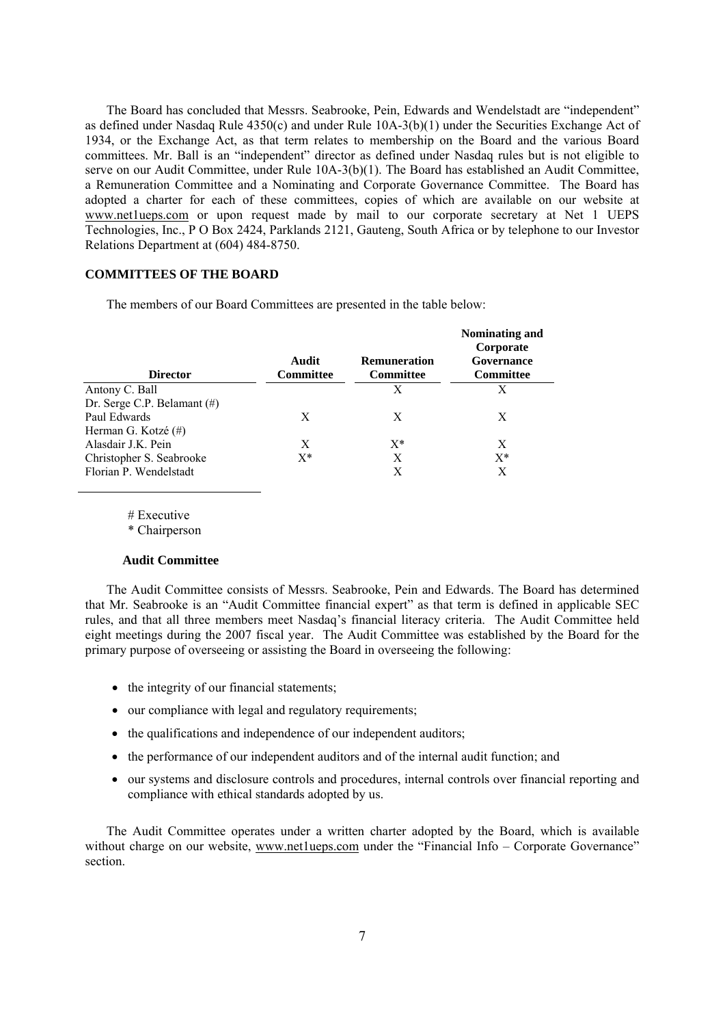The Board has concluded that Messrs. Seabrooke, Pein, Edwards and Wendelstadt are "independent" as defined under Nasdaq Rule 4350(c) and under Rule 10A-3(b)(1) under the Securities Exchange Act of 1934, or the Exchange Act, as that term relates to membership on the Board and the various Board committees. Mr. Ball is an "independent" director as defined under Nasdaq rules but is not eligible to serve on our Audit Committee, under Rule 10A-3(b)(1). The Board has established an Audit Committee, a Remuneration Committee and a Nominating and Corporate Governance Committee. The Board has adopted a charter for each of these committees, copies of which are available on our website at www.netlueps.com or upon request made by mail to our corporate secretary at Net 1 UEPS Technologies, Inc., P O Box 2424, Parklands 2121, Gauteng, South Africa or by telephone to our Investor Relations Department at (604) 484-8750.

### **COMMITTEES OF THE BOARD**

The members of our Board Committees are presented in the table below:

|                             |                    |                           | Nominating and<br>Corporate |
|-----------------------------|--------------------|---------------------------|-----------------------------|
| <b>Director</b>             | Audit<br>Committee | Remuneration<br>Committee | Governance<br>Committee     |
| Antony C. Ball              |                    | X                         | X                           |
| Dr. Serge C.P. Belamant (#) |                    |                           |                             |
| Paul Edwards                | X                  | X                         | X                           |
| Herman G. Kotzé (#)         |                    |                           |                             |
| Alasdair J.K. Pein          | X                  | $X^*$                     | X                           |
| Christopher S. Seabrooke    | $X^*$              | X                         | $X^*$                       |
| Florian P. Wendelstadt      |                    | Х                         | X                           |

# Executive

\* Chairperson

#### **Audit Committee**

The Audit Committee consists of Messrs. Seabrooke, Pein and Edwards. The Board has determined that Mr. Seabrooke is an "Audit Committee financial expert" as that term is defined in applicable SEC rules, and that all three members meet Nasdaq's financial literacy criteria. The Audit Committee held eight meetings during the 2007 fiscal year. The Audit Committee was established by the Board for the primary purpose of overseeing or assisting the Board in overseeing the following:

- the integrity of our financial statements;
- our compliance with legal and regulatory requirements;
- the qualifications and independence of our independent auditors;
- the performance of our independent auditors and of the internal audit function; and
- our systems and disclosure controls and procedures, internal controls over financial reporting and compliance with ethical standards adopted by us.

The Audit Committee operates under a written charter adopted by the Board, which is available without charge on our website, www.net1ueps.com under the "Financial Info – Corporate Governance" section.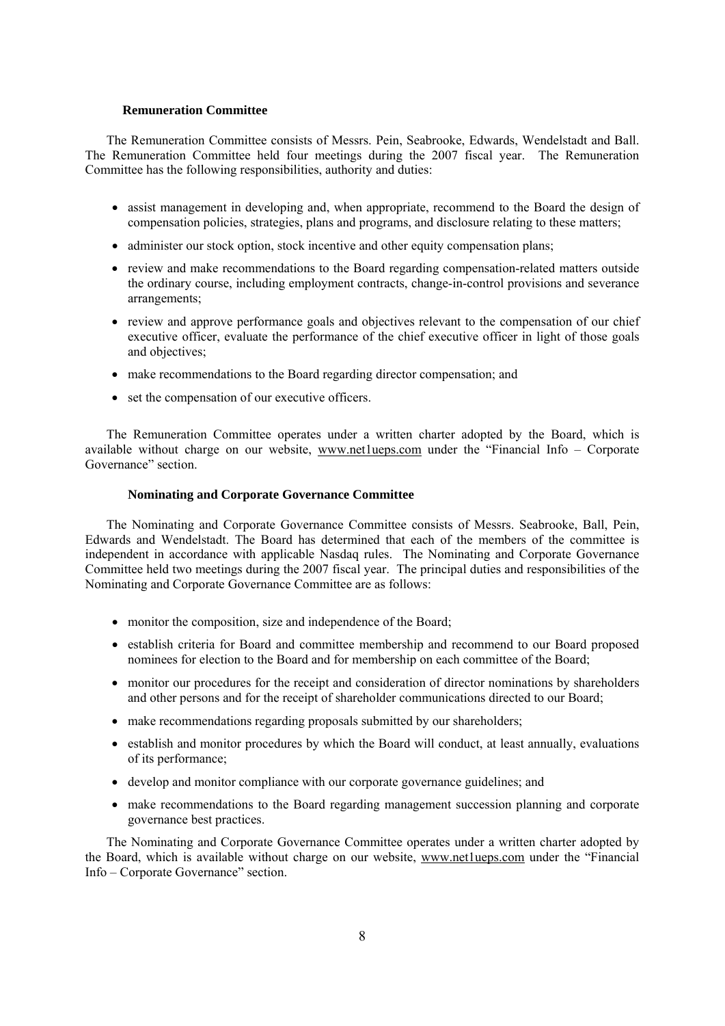### **Remuneration Committee**

The Remuneration Committee consists of Messrs. Pein, Seabrooke, Edwards, Wendelstadt and Ball. The Remuneration Committee held four meetings during the 2007 fiscal year. The Remuneration Committee has the following responsibilities, authority and duties:

- assist management in developing and, when appropriate, recommend to the Board the design of compensation policies, strategies, plans and programs, and disclosure relating to these matters;
- administer our stock option, stock incentive and other equity compensation plans;
- review and make recommendations to the Board regarding compensation-related matters outside the ordinary course, including employment contracts, change-in-control provisions and severance arrangements;
- review and approve performance goals and objectives relevant to the compensation of our chief executive officer, evaluate the performance of the chief executive officer in light of those goals and objectives;
- make recommendations to the Board regarding director compensation; and
- set the compensation of our executive officers.

The Remuneration Committee operates under a written charter adopted by the Board, which is available without charge on our website, www.net1ueps.com under the "Financial Info – Corporate Governance" section.

### **Nominating and Corporate Governance Committee**

The Nominating and Corporate Governance Committee consists of Messrs. Seabrooke, Ball, Pein, Edwards and Wendelstadt. The Board has determined that each of the members of the committee is independent in accordance with applicable Nasdaq rules. The Nominating and Corporate Governance Committee held two meetings during the 2007 fiscal year. The principal duties and responsibilities of the Nominating and Corporate Governance Committee are as follows:

- monitor the composition, size and independence of the Board;
- establish criteria for Board and committee membership and recommend to our Board proposed nominees for election to the Board and for membership on each committee of the Board;
- monitor our procedures for the receipt and consideration of director nominations by shareholders and other persons and for the receipt of shareholder communications directed to our Board;
- make recommendations regarding proposals submitted by our shareholders;
- establish and monitor procedures by which the Board will conduct, at least annually, evaluations of its performance;
- develop and monitor compliance with our corporate governance guidelines; and
- make recommendations to the Board regarding management succession planning and corporate governance best practices.

The Nominating and Corporate Governance Committee operates under a written charter adopted by the Board, which is available without charge on our website, www.netlueps.com under the "Financial Info – Corporate Governance" section.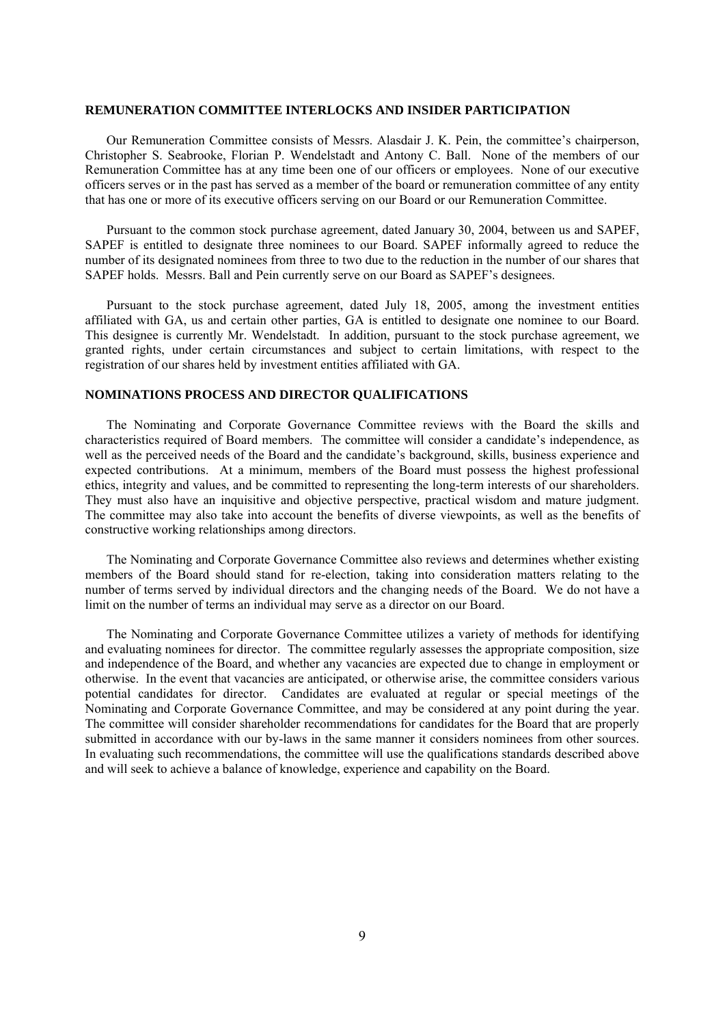#### **REMUNERATION COMMITTEE INTERLOCKS AND INSIDER PARTICIPATION**

Our Remuneration Committee consists of Messrs. Alasdair J. K. Pein, the committee's chairperson, Christopher S. Seabrooke, Florian P. Wendelstadt and Antony C. Ball. None of the members of our Remuneration Committee has at any time been one of our officers or employees. None of our executive officers serves or in the past has served as a member of the board or remuneration committee of any entity that has one or more of its executive officers serving on our Board or our Remuneration Committee.

Pursuant to the common stock purchase agreement, dated January 30, 2004, between us and SAPEF, SAPEF is entitled to designate three nominees to our Board. SAPEF informally agreed to reduce the number of its designated nominees from three to two due to the reduction in the number of our shares that SAPEF holds. Messrs. Ball and Pein currently serve on our Board as SAPEF's designees.

Pursuant to the stock purchase agreement, dated July 18, 2005, among the investment entities affiliated with GA, us and certain other parties, GA is entitled to designate one nominee to our Board. This designee is currently Mr. Wendelstadt. In addition, pursuant to the stock purchase agreement, we granted rights, under certain circumstances and subject to certain limitations, with respect to the registration of our shares held by investment entities affiliated with GA.

### **NOMINATIONS PROCESS AND DIRECTOR QUALIFICATIONS**

The Nominating and Corporate Governance Committee reviews with the Board the skills and characteristics required of Board members. The committee will consider a candidate's independence, as well as the perceived needs of the Board and the candidate's background, skills, business experience and expected contributions. At a minimum, members of the Board must possess the highest professional ethics, integrity and values, and be committed to representing the long-term interests of our shareholders. They must also have an inquisitive and objective perspective, practical wisdom and mature judgment. The committee may also take into account the benefits of diverse viewpoints, as well as the benefits of constructive working relationships among directors.

The Nominating and Corporate Governance Committee also reviews and determines whether existing members of the Board should stand for re-election, taking into consideration matters relating to the number of terms served by individual directors and the changing needs of the Board. We do not have a limit on the number of terms an individual may serve as a director on our Board.

The Nominating and Corporate Governance Committee utilizes a variety of methods for identifying and evaluating nominees for director. The committee regularly assesses the appropriate composition, size and independence of the Board, and whether any vacancies are expected due to change in employment or otherwise. In the event that vacancies are anticipated, or otherwise arise, the committee considers various potential candidates for director. Candidates are evaluated at regular or special meetings of the Nominating and Corporate Governance Committee, and may be considered at any point during the year. The committee will consider shareholder recommendations for candidates for the Board that are properly submitted in accordance with our by-laws in the same manner it considers nominees from other sources. In evaluating such recommendations, the committee will use the qualifications standards described above and will seek to achieve a balance of knowledge, experience and capability on the Board.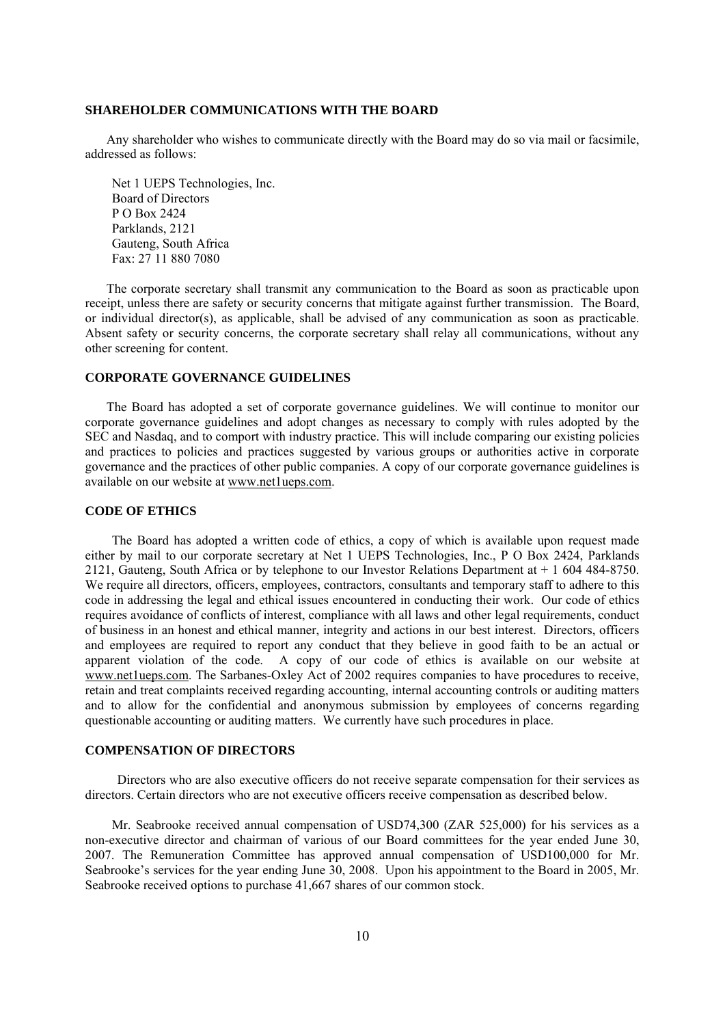### **SHAREHOLDER COMMUNICATIONS WITH THE BOARD**

Any shareholder who wishes to communicate directly with the Board may do so via mail or facsimile, addressed as follows:

Net 1 UEPS Technologies, Inc. Board of Directors P O Box 2424 Parklands, 2121 Gauteng, South Africa Fax: 27 11 880 7080

The corporate secretary shall transmit any communication to the Board as soon as practicable upon receipt, unless there are safety or security concerns that mitigate against further transmission. The Board, or individual director(s), as applicable, shall be advised of any communication as soon as practicable. Absent safety or security concerns, the corporate secretary shall relay all communications, without any other screening for content.

### **CORPORATE GOVERNANCE GUIDELINES**

The Board has adopted a set of corporate governance guidelines. We will continue to monitor our corporate governance guidelines and adopt changes as necessary to comply with rules adopted by the SEC and Nasdaq, and to comport with industry practice. This will include comparing our existing policies and practices to policies and practices suggested by various groups or authorities active in corporate governance and the practices of other public companies. A copy of our corporate governance guidelines is available on our website at www.net1ueps.com.

### **CODE OF ETHICS**

The Board has adopted a written code of ethics, a copy of which is available upon request made either by mail to our corporate secretary at Net 1 UEPS Technologies, Inc., P O Box 2424, Parklands 2121, Gauteng, South Africa or by telephone to our Investor Relations Department at + 1 604 484-8750. We require all directors, officers, employees, contractors, consultants and temporary staff to adhere to this code in addressing the legal and ethical issues encountered in conducting their work. Our code of ethics requires avoidance of conflicts of interest, compliance with all laws and other legal requirements, conduct of business in an honest and ethical manner, integrity and actions in our best interest. Directors, officers and employees are required to report any conduct that they believe in good faith to be an actual or apparent violation of the code. A copy of our code of ethics is available on our website at www.net1ueps.com. The Sarbanes-Oxley Act of 2002 requires companies to have procedures to receive, retain and treat complaints received regarding accounting, internal accounting controls or auditing matters and to allow for the confidential and anonymous submission by employees of concerns regarding questionable accounting or auditing matters. We currently have such procedures in place.

### **COMPENSATION OF DIRECTORS**

Directors who are also executive officers do not receive separate compensation for their services as directors. Certain directors who are not executive officers receive compensation as described below.

Mr. Seabrooke received annual compensation of USD74,300 (ZAR 525,000) for his services as a non-executive director and chairman of various of our Board committees for the year ended June 30, 2007. The Remuneration Committee has approved annual compensation of USD100,000 for Mr. Seabrooke's services for the year ending June 30, 2008. Upon his appointment to the Board in 2005, Mr. Seabrooke received options to purchase 41,667 shares of our common stock.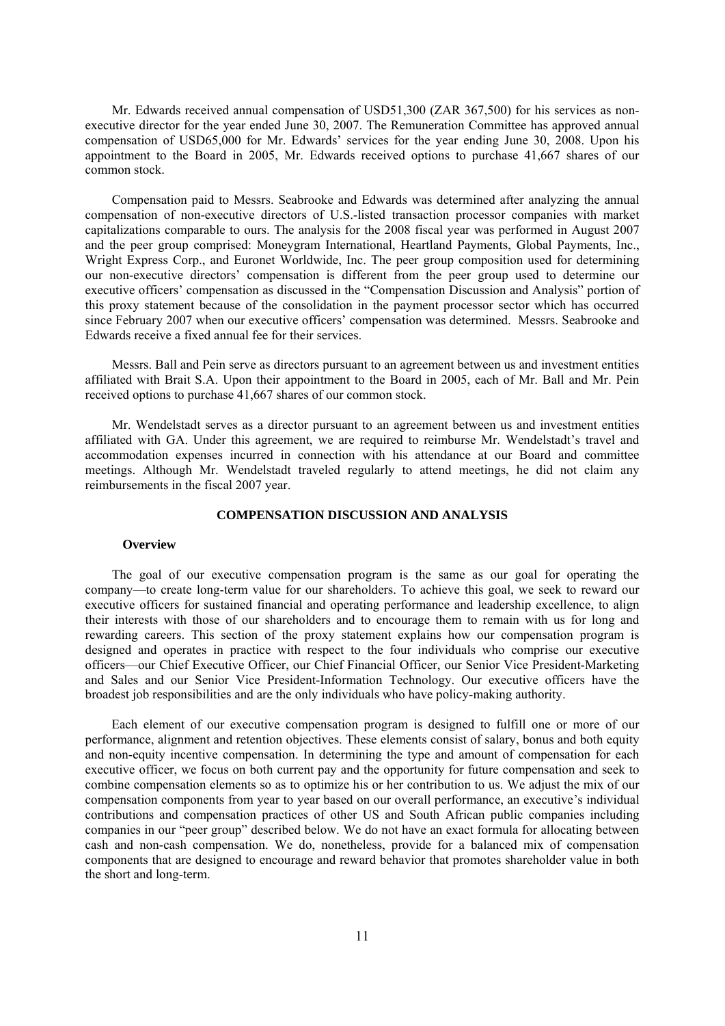Mr. Edwards received annual compensation of USD51,300 (ZAR 367,500) for his services as nonexecutive director for the year ended June 30, 2007. The Remuneration Committee has approved annual compensation of USD65,000 for Mr. Edwards' services for the year ending June 30, 2008. Upon his appointment to the Board in 2005, Mr. Edwards received options to purchase 41,667 shares of our common stock.

Compensation paid to Messrs. Seabrooke and Edwards was determined after analyzing the annual compensation of non-executive directors of U.S.-listed transaction processor companies with market capitalizations comparable to ours. The analysis for the 2008 fiscal year was performed in August 2007 and the peer group comprised: Moneygram International, Heartland Payments, Global Payments, Inc., Wright Express Corp., and Euronet Worldwide, Inc. The peer group composition used for determining our non-executive directors' compensation is different from the peer group used to determine our executive officers' compensation as discussed in the "Compensation Discussion and Analysis" portion of this proxy statement because of the consolidation in the payment processor sector which has occurred since February 2007 when our executive officers' compensation was determined. Messrs. Seabrooke and Edwards receive a fixed annual fee for their services.

Messrs. Ball and Pein serve as directors pursuant to an agreement between us and investment entities affiliated with Brait S.A. Upon their appointment to the Board in 2005, each of Mr. Ball and Mr. Pein received options to purchase 41,667 shares of our common stock.

Mr. Wendelstadt serves as a director pursuant to an agreement between us and investment entities affiliated with GA. Under this agreement, we are required to reimburse Mr. Wendelstadt's travel and accommodation expenses incurred in connection with his attendance at our Board and committee meetings. Although Mr. Wendelstadt traveled regularly to attend meetings, he did not claim any reimbursements in the fiscal 2007 year.

### **COMPENSATION DISCUSSION AND ANALYSIS**

#### **Overview**

The goal of our executive compensation program is the same as our goal for operating the company—to create long-term value for our shareholders. To achieve this goal, we seek to reward our executive officers for sustained financial and operating performance and leadership excellence, to align their interests with those of our shareholders and to encourage them to remain with us for long and rewarding careers. This section of the proxy statement explains how our compensation program is designed and operates in practice with respect to the four individuals who comprise our executive officers—our Chief Executive Officer, our Chief Financial Officer, our Senior Vice President-Marketing and Sales and our Senior Vice President-Information Technology. Our executive officers have the broadest job responsibilities and are the only individuals who have policy-making authority.

Each element of our executive compensation program is designed to fulfill one or more of our performance, alignment and retention objectives. These elements consist of salary, bonus and both equity and non-equity incentive compensation. In determining the type and amount of compensation for each executive officer, we focus on both current pay and the opportunity for future compensation and seek to combine compensation elements so as to optimize his or her contribution to us. We adjust the mix of our compensation components from year to year based on our overall performance, an executive's individual contributions and compensation practices of other US and South African public companies including companies in our "peer group" described below. We do not have an exact formula for allocating between cash and non-cash compensation. We do, nonetheless, provide for a balanced mix of compensation components that are designed to encourage and reward behavior that promotes shareholder value in both the short and long-term.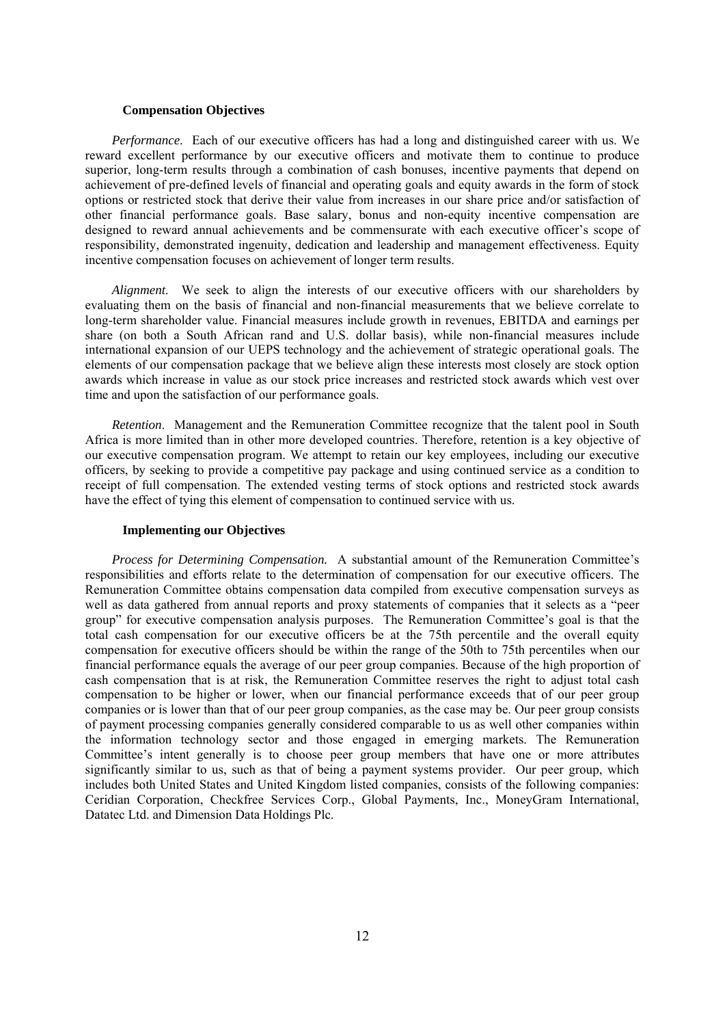#### **Compensation Objectives**

*Performance*. Each of our executive officers has had a long and distinguished career with us. We reward excellent performance by our executive officers and motivate them to continue to produce superior, long-term results through a combination of cash bonuses, incentive payments that depend on achievement of pre-defined levels of financial and operating goals and equity awards in the form of stock options or restricted stock that derive their value from increases in our share price and/or satisfaction of other financial performance goals. Base salary, bonus and non-equity incentive compensation are designed to reward annual achievements and be commensurate with each executive officer's scope of responsibility, demonstrated ingenuity, dedication and leadership and management effectiveness. Equity incentive compensation focuses on achievement of longer term results.

*Alignment*. We seek to align the interests of our executive officers with our shareholders by evaluating them on the basis of financial and non-financial measurements that we believe correlate to long-term shareholder value. Financial measures include growth in revenues, EBITDA and earnings per share (on both a South African rand and U.S. dollar basis), while non-financial measures include international expansion of our UEPS technology and the achievement of strategic operational goals. The elements of our compensation package that we believe align these interests most closely are stock option awards which increase in value as our stock price increases and restricted stock awards which vest over time and upon the satisfaction of our performance goals.

*Retention*. Management and the Remuneration Committee recognize that the talent pool in South Africa is more limited than in other more developed countries. Therefore, retention is a key objective of our executive compensation program. We attempt to retain our key employees, including our executive officers, by seeking to provide a competitive pay package and using continued service as a condition to receipt of full compensation. The extended vesting terms of stock options and restricted stock awards have the effect of tying this element of compensation to continued service with us.

### **Implementing our Objectives**

*Process for Determining Compensation.* A substantial amount of the Remuneration Committee's responsibilities and efforts relate to the determination of compensation for our executive officers. The Remuneration Committee obtains compensation data compiled from executive compensation surveys as well as data gathered from annual reports and proxy statements of companies that it selects as a "peer group" for executive compensation analysis purposes. The Remuneration Committee's goal is that the total cash compensation for our executive officers be at the 75th percentile and the overall equity compensation for executive officers should be within the range of the 50th to 75th percentiles when our financial performance equals the average of our peer group companies. Because of the high proportion of cash compensation that is at risk, the Remuneration Committee reserves the right to adjust total cash compensation to be higher or lower, when our financial performance exceeds that of our peer group companies or is lower than that of our peer group companies, as the case may be. Our peer group consists of payment processing companies generally considered comparable to us as well other companies within the information technology sector and those engaged in emerging markets. The Remuneration Committee's intent generally is to choose peer group members that have one or more attributes significantly similar to us, such as that of being a payment systems provider.Our peer group, which includes both United States and United Kingdom listed companies, consists of the following companies: Ceridian Corporation, Checkfree Services Corp., Global Payments, Inc., MoneyGram International, Datatec Ltd. and Dimension Data Holdings Plc.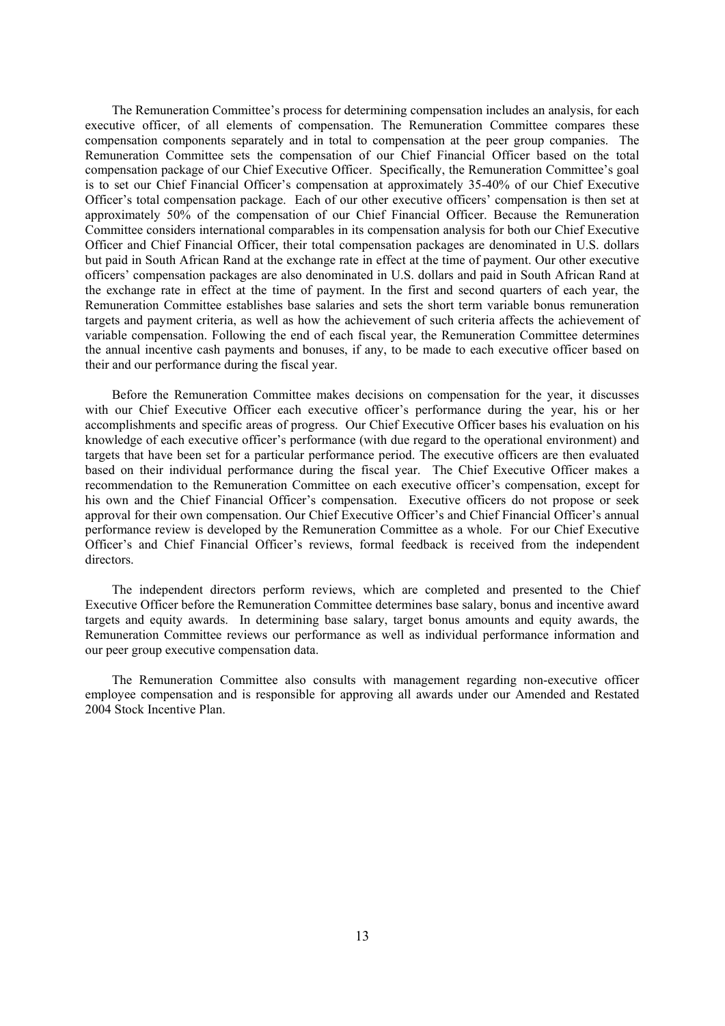The Remuneration Committee's process for determining compensation includes an analysis, for each executive officer, of all elements of compensation. The Remuneration Committee compares these compensation components separately and in total to compensation at the peer group companies. The Remuneration Committee sets the compensation of our Chief Financial Officer based on the total compensation package of our Chief Executive Officer. Specifically, the Remuneration Committee's goal is to set our Chief Financial Officer's compensation at approximately 35-40% of our Chief Executive Officer's total compensation package. Each of our other executive officers' compensation is then set at approximately 50% of the compensation of our Chief Financial Officer. Because the Remuneration Committee considers international comparables in its compensation analysis for both our Chief Executive Officer and Chief Financial Officer, their total compensation packages are denominated in U.S. dollars but paid in South African Rand at the exchange rate in effect at the time of payment. Our other executive officers' compensation packages are also denominated in U.S. dollars and paid in South African Rand at the exchange rate in effect at the time of payment. In the first and second quarters of each year, the Remuneration Committee establishes base salaries and sets the short term variable bonus remuneration targets and payment criteria, as well as how the achievement of such criteria affects the achievement of variable compensation. Following the end of each fiscal year, the Remuneration Committee determines the annual incentive cash payments and bonuses, if any, to be made to each executive officer based on their and our performance during the fiscal year.

Before the Remuneration Committee makes decisions on compensation for the year, it discusses with our Chief Executive Officer each executive officer's performance during the year, his or her accomplishments and specific areas of progress. Our Chief Executive Officer bases his evaluation on his knowledge of each executive officer's performance (with due regard to the operational environment) and targets that have been set for a particular performance period. The executive officers are then evaluated based on their individual performance during the fiscal year. The Chief Executive Officer makes a recommendation to the Remuneration Committee on each executive officer's compensation, except for his own and the Chief Financial Officer's compensation. Executive officers do not propose or seek approval for their own compensation. Our Chief Executive Officer's and Chief Financial Officer's annual performance review is developed by the Remuneration Committee as a whole. For our Chief Executive Officer's and Chief Financial Officer's reviews, formal feedback is received from the independent directors.

The independent directors perform reviews, which are completed and presented to the Chief Executive Officer before the Remuneration Committee determines base salary, bonus and incentive award targets and equity awards. In determining base salary, target bonus amounts and equity awards, the Remuneration Committee reviews our performance as well as individual performance information and our peer group executive compensation data.

The Remuneration Committee also consults with management regarding non-executive officer employee compensation and is responsible for approving all awards under our Amended and Restated 2004 Stock Incentive Plan.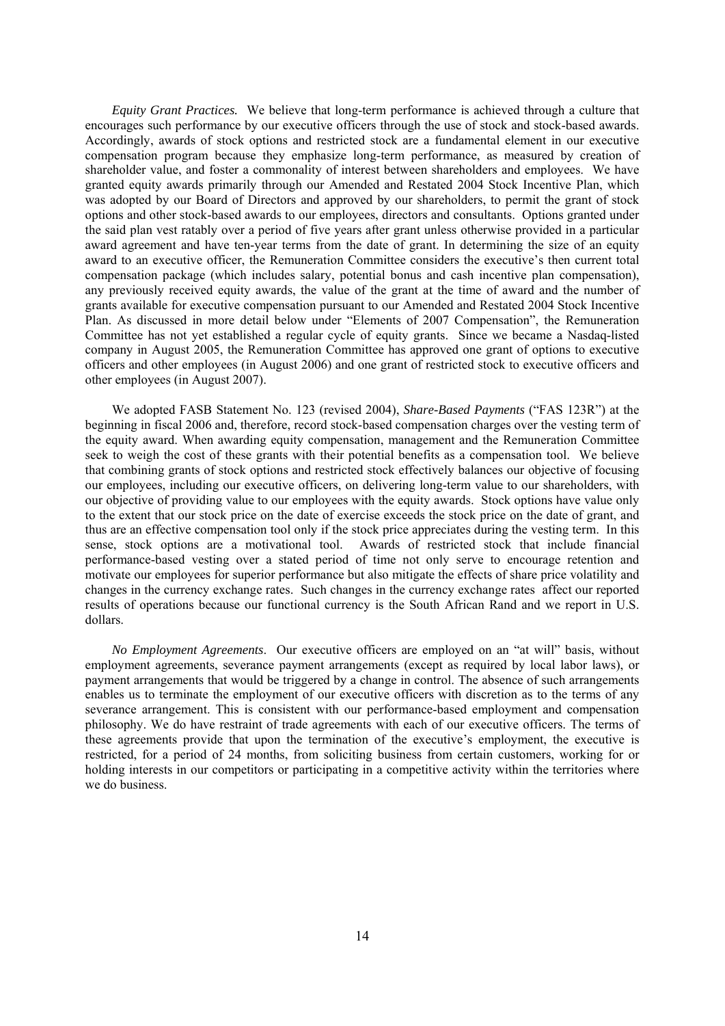*Equity Grant Practices.* We believe that long-term performance is achieved through a culture that encourages such performance by our executive officers through the use of stock and stock-based awards. Accordingly, awards of stock options and restricted stock are a fundamental element in our executive compensation program because they emphasize long-term performance, as measured by creation of shareholder value, and foster a commonality of interest between shareholders and employees. We have granted equity awards primarily through our Amended and Restated 2004 Stock Incentive Plan, which was adopted by our Board of Directors and approved by our shareholders, to permit the grant of stock options and other stock-based awards to our employees, directors and consultants. Options granted under the said plan vest ratably over a period of five years after grant unless otherwise provided in a particular award agreement and have ten-year terms from the date of grant. In determining the size of an equity award to an executive officer, the Remuneration Committee considers the executive's then current total compensation package (which includes salary, potential bonus and cash incentive plan compensation), any previously received equity awards, the value of the grant at the time of award and the number of grants available for executive compensation pursuant to our Amended and Restated 2004 Stock Incentive Plan. As discussed in more detail below under "Elements of 2007 Compensation", the Remuneration Committee has not yet established a regular cycle of equity grants. Since we became a Nasdaq-listed company in August 2005, the Remuneration Committee has approved one grant of options to executive officers and other employees (in August 2006) and one grant of restricted stock to executive officers and other employees (in August 2007).

We adopted FASB Statement No. 123 (revised 2004), *Share-Based Payments* ("FAS 123R") at the beginning in fiscal 2006 and, therefore, record stock-based compensation charges over the vesting term of the equity award. When awarding equity compensation, management and the Remuneration Committee seek to weigh the cost of these grants with their potential benefits as a compensation tool. We believe that combining grants of stock options and restricted stock effectively balances our objective of focusing our employees, including our executive officers, on delivering long-term value to our shareholders, with our objective of providing value to our employees with the equity awards. Stock options have value only to the extent that our stock price on the date of exercise exceeds the stock price on the date of grant, and thus are an effective compensation tool only if the stock price appreciates during the vesting term. In this sense, stock options are a motivational tool. Awards of restricted stock that include financial performance-based vesting over a stated period of time not only serve to encourage retention and motivate our employees for superior performance but also mitigate the effects of share price volatility and changes in the currency exchange rates. Such changes in the currency exchange rates affect our reported results of operations because our functional currency is the South African Rand and we report in U.S. dollars.

*No Employment Agreements*. Our executive officers are employed on an "at will" basis, without employment agreements, severance payment arrangements (except as required by local labor laws), or payment arrangements that would be triggered by a change in control. The absence of such arrangements enables us to terminate the employment of our executive officers with discretion as to the terms of any severance arrangement. This is consistent with our performance-based employment and compensation philosophy. We do have restraint of trade agreements with each of our executive officers. The terms of these agreements provide that upon the termination of the executive's employment, the executive is restricted, for a period of 24 months, from soliciting business from certain customers, working for or holding interests in our competitors or participating in a competitive activity within the territories where we do business.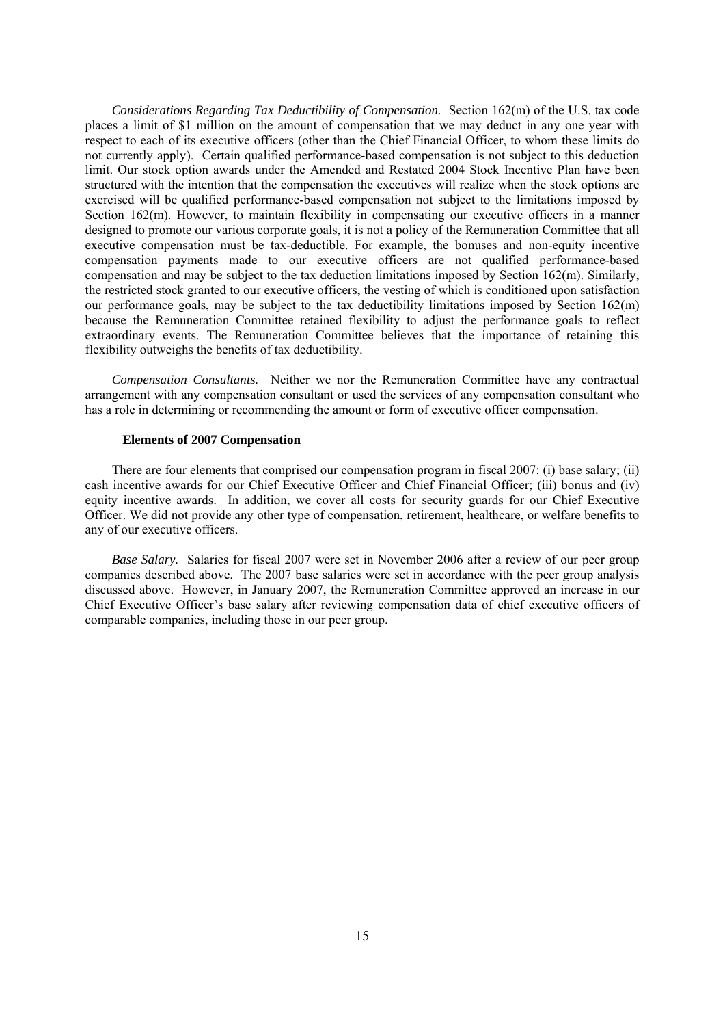*Considerations Regarding Tax Deductibility of Compensation.* Section 162(m) of the U.S. tax code places a limit of \$1 million on the amount of compensation that we may deduct in any one year with respect to each of its executive officers (other than the Chief Financial Officer, to whom these limits do not currently apply). Certain qualified performance-based compensation is not subject to this deduction limit. Our stock option awards under the Amended and Restated 2004 Stock Incentive Plan have been structured with the intention that the compensation the executives will realize when the stock options are exercised will be qualified performance-based compensation not subject to the limitations imposed by Section 162(m). However, to maintain flexibility in compensating our executive officers in a manner designed to promote our various corporate goals, it is not a policy of the Remuneration Committee that all executive compensation must be tax-deductible. For example, the bonuses and non-equity incentive compensation payments made to our executive officers are not qualified performance-based compensation and may be subject to the tax deduction limitations imposed by Section 162(m). Similarly, the restricted stock granted to our executive officers, the vesting of which is conditioned upon satisfaction our performance goals, may be subject to the tax deductibility limitations imposed by Section  $162(m)$ because the Remuneration Committee retained flexibility to adjust the performance goals to reflect extraordinary events. The Remuneration Committee believes that the importance of retaining this flexibility outweighs the benefits of tax deductibility.

*Compensation Consultants.* Neither we nor the Remuneration Committee have any contractual arrangement with any compensation consultant or used the services of any compensation consultant who has a role in determining or recommending the amount or form of executive officer compensation.

### **Elements of 2007 Compensation**

There are four elements that comprised our compensation program in fiscal 2007: (i) base salary; (ii) cash incentive awards for our Chief Executive Officer and Chief Financial Officer; (iii) bonus and (iv) equity incentive awards. In addition, we cover all costs for security guards for our Chief Executive Officer. We did not provide any other type of compensation, retirement, healthcare, or welfare benefits to any of our executive officers.

*Base Salary.* Salaries for fiscal 2007 were set in November 2006 after a review of our peer group companies described above. The 2007 base salaries were set in accordance with the peer group analysis discussed above. However, in January 2007, the Remuneration Committee approved an increase in our Chief Executive Officer's base salary after reviewing compensation data of chief executive officers of comparable companies, including those in our peer group.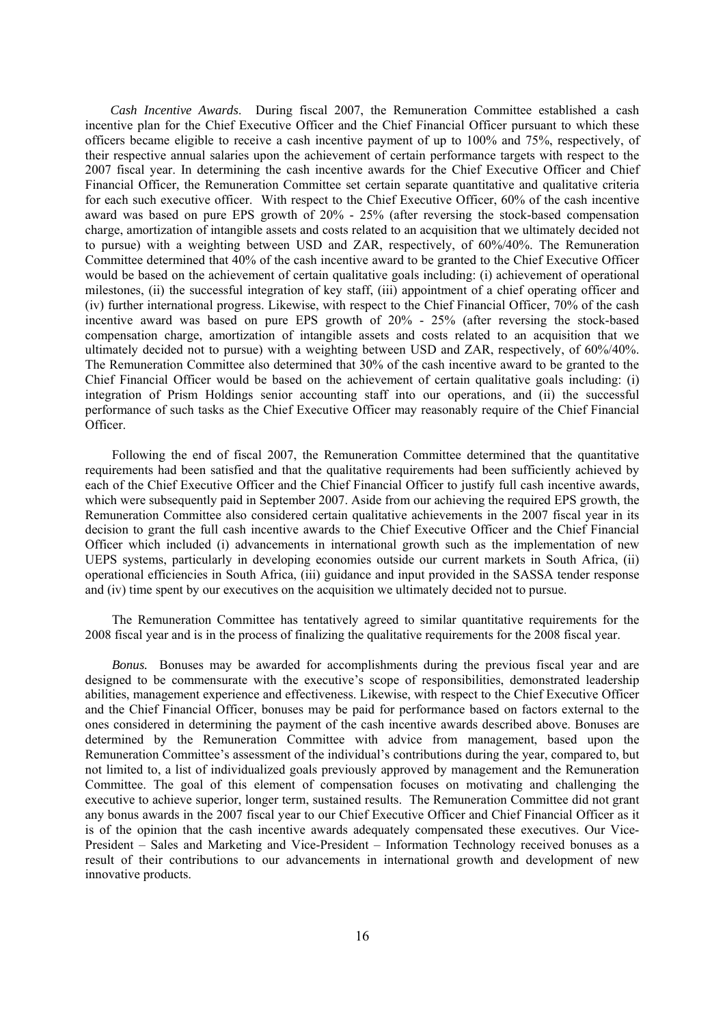*Cash Incentive Awards*. During fiscal 2007, the Remuneration Committee established a cash incentive plan for the Chief Executive Officer and the Chief Financial Officer pursuant to which these officers became eligible to receive a cash incentive payment of up to 100% and 75%, respectively, of their respective annual salaries upon the achievement of certain performance targets with respect to the 2007 fiscal year. In determining the cash incentive awards for the Chief Executive Officer and Chief Financial Officer, the Remuneration Committee set certain separate quantitative and qualitative criteria for each such executive officer. With respect to the Chief Executive Officer, 60% of the cash incentive award was based on pure EPS growth of 20% - 25% (after reversing the stock-based compensation charge, amortization of intangible assets and costs related to an acquisition that we ultimately decided not to pursue) with a weighting between USD and ZAR, respectively, of 60%/40%. The Remuneration Committee determined that 40% of the cash incentive award to be granted to the Chief Executive Officer would be based on the achievement of certain qualitative goals including: (i) achievement of operational milestones, (ii) the successful integration of key staff, (iii) appointment of a chief operating officer and (iv) further international progress. Likewise, with respect to the Chief Financial Officer, 70% of the cash incentive award was based on pure EPS growth of 20% - 25% (after reversing the stock-based compensation charge, amortization of intangible assets and costs related to an acquisition that we ultimately decided not to pursue) with a weighting between USD and ZAR, respectively, of 60%/40%. The Remuneration Committee also determined that 30% of the cash incentive award to be granted to the Chief Financial Officer would be based on the achievement of certain qualitative goals including: (i) integration of Prism Holdings senior accounting staff into our operations, and (ii) the successful performance of such tasks as the Chief Executive Officer may reasonably require of the Chief Financial Officer.

Following the end of fiscal 2007, the Remuneration Committee determined that the quantitative requirements had been satisfied and that the qualitative requirements had been sufficiently achieved by each of the Chief Executive Officer and the Chief Financial Officer to justify full cash incentive awards, which were subsequently paid in September 2007. Aside from our achieving the required EPS growth, the Remuneration Committee also considered certain qualitative achievements in the 2007 fiscal year in its decision to grant the full cash incentive awards to the Chief Executive Officer and the Chief Financial Officer which included (i) advancements in international growth such as the implementation of new UEPS systems, particularly in developing economies outside our current markets in South Africa, (ii) operational efficiencies in South Africa, (iii) guidance and input provided in the SASSA tender response and (iv) time spent by our executives on the acquisition we ultimately decided not to pursue.

The Remuneration Committee has tentatively agreed to similar quantitative requirements for the 2008 fiscal year and is in the process of finalizing the qualitative requirements for the 2008 fiscal year.

*Bonus.* Bonuses may be awarded for accomplishments during the previous fiscal year and are designed to be commensurate with the executive's scope of responsibilities, demonstrated leadership abilities, management experience and effectiveness. Likewise, with respect to the Chief Executive Officer and the Chief Financial Officer, bonuses may be paid for performance based on factors external to the ones considered in determining the payment of the cash incentive awards described above. Bonuses are determined by the Remuneration Committee with advice from management, based upon the Remuneration Committee's assessment of the individual's contributions during the year, compared to, but not limited to, a list of individualized goals previously approved by management and the Remuneration Committee. The goal of this element of compensation focuses on motivating and challenging the executive to achieve superior, longer term, sustained results. The Remuneration Committee did not grant any bonus awards in the 2007 fiscal year to our Chief Executive Officer and Chief Financial Officer as it is of the opinion that the cash incentive awards adequately compensated these executives. Our Vice-President – Sales and Marketing and Vice-President – Information Technology received bonuses as a result of their contributions to our advancements in international growth and development of new innovative products.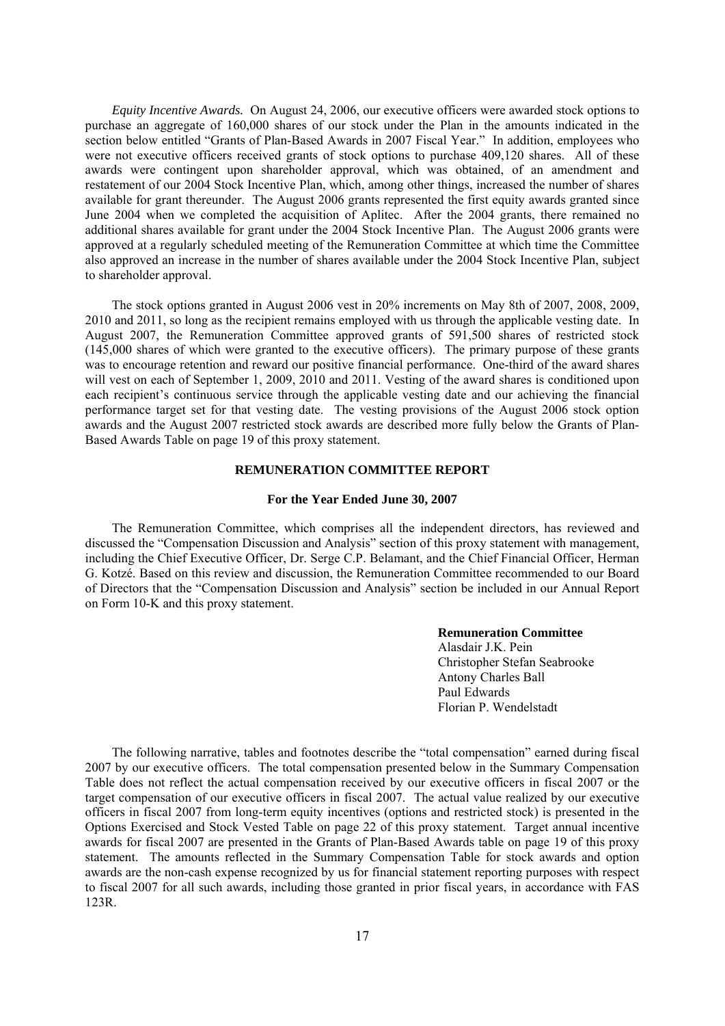*Equity Incentive Awards.* On August 24, 2006, our executive officers were awarded stock options to purchase an aggregate of 160,000 shares of our stock under the Plan in the amounts indicated in the section below entitled "Grants of Plan-Based Awards in 2007 Fiscal Year." In addition, employees who were not executive officers received grants of stock options to purchase 409,120 shares. All of these awards were contingent upon shareholder approval, which was obtained, of an amendment and restatement of our 2004 Stock Incentive Plan, which, among other things, increased the number of shares available for grant thereunder. The August 2006 grants represented the first equity awards granted since June 2004 when we completed the acquisition of Aplitec. After the 2004 grants, there remained no additional shares available for grant under the 2004 Stock Incentive Plan. The August 2006 grants were approved at a regularly scheduled meeting of the Remuneration Committee at which time the Committee also approved an increase in the number of shares available under the 2004 Stock Incentive Plan, subject to shareholder approval.

The stock options granted in August 2006 vest in 20% increments on May 8th of 2007, 2008, 2009, 2010 and 2011, so long as the recipient remains employed with us through the applicable vesting date. In August 2007, the Remuneration Committee approved grants of 591,500 shares of restricted stock (145,000 shares of which were granted to the executive officers). The primary purpose of these grants was to encourage retention and reward our positive financial performance. One-third of the award shares will vest on each of September 1, 2009, 2010 and 2011. Vesting of the award shares is conditioned upon each recipient's continuous service through the applicable vesting date and our achieving the financial performance target set for that vesting date. The vesting provisions of the August 2006 stock option awards and the August 2007 restricted stock awards are described more fully below the Grants of Plan-Based Awards Table on page 19 of this proxy statement.

### **REMUNERATION COMMITTEE REPORT**

### **For the Year Ended June 30, 2007**

The Remuneration Committee, which comprises all the independent directors, has reviewed and discussed the "Compensation Discussion and Analysis" section of this proxy statement with management, including the Chief Executive Officer, Dr. Serge C.P. Belamant, and the Chief Financial Officer, Herman G. Kotzé. Based on this review and discussion, the Remuneration Committee recommended to our Board of Directors that the "Compensation Discussion and Analysis" section be included in our Annual Report on Form 10-K and this proxy statement.

### **Remuneration Committee**

Alasdair J.K. Pein Christopher Stefan Seabrooke Antony Charles Ball Paul Edwards Florian P. Wendelstadt

The following narrative, tables and footnotes describe the "total compensation" earned during fiscal 2007 by our executive officers. The total compensation presented below in the Summary Compensation Table does not reflect the actual compensation received by our executive officers in fiscal 2007 or the target compensation of our executive officers in fiscal 2007. The actual value realized by our executive officers in fiscal 2007 from long-term equity incentives (options and restricted stock) is presented in the Options Exercised and Stock Vested Table on page 22 of this proxy statement. Target annual incentive awards for fiscal 2007 are presented in the Grants of Plan-Based Awards table on page 19 of this proxy statement. The amounts reflected in the Summary Compensation Table for stock awards and option awards are the non-cash expense recognized by us for financial statement reporting purposes with respect to fiscal 2007 for all such awards, including those granted in prior fiscal years, in accordance with FAS 123R.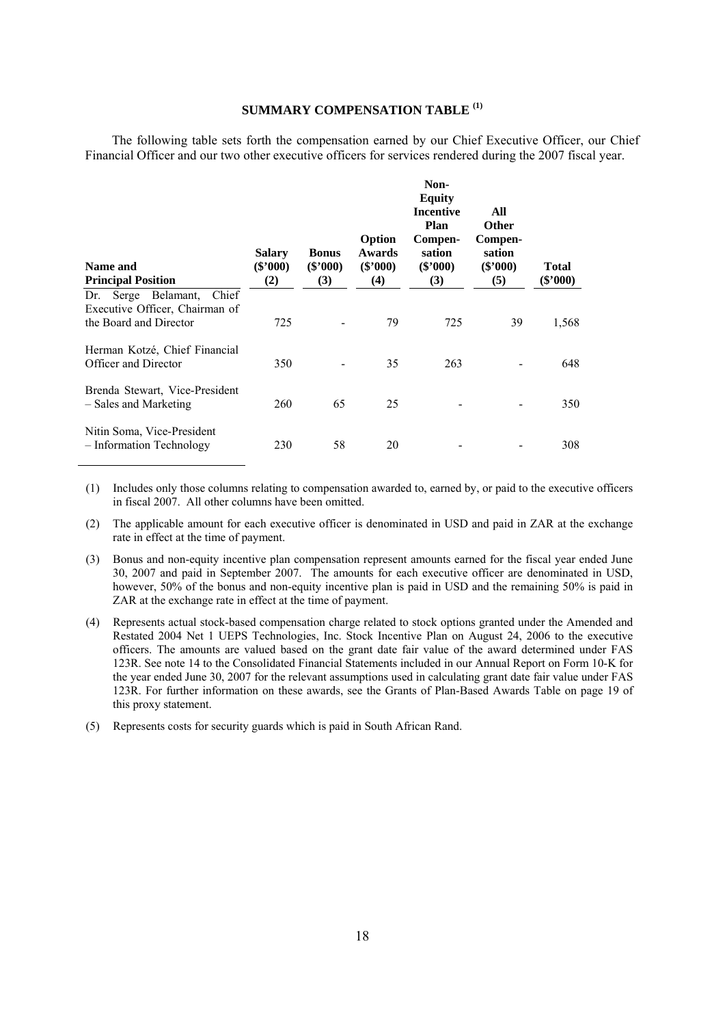### **SUMMARY COMPENSATION TABLE (1)**

The following table sets forth the compensation earned by our Chief Executive Officer, our Chief Financial Officer and our two other executive officers for services rendered during the 2007 fiscal year.

| Name and<br><b>Principal Position</b>                                                    | <b>Salary</b><br>$(\$'000)$<br>(2) | <b>Bonus</b><br>$(\$'000)$<br>(3) | Option<br>Awards<br>$(\$'000)$<br>(4) | Non-<br><b>Equity</b><br><b>Incentive</b><br><b>Plan</b><br>Compen-<br>sation<br>$(\$'000)$<br>(3) | All<br><b>Other</b><br>Compen-<br>sation<br>$(\$'000)$<br>(5) | <b>Total</b><br>(\$'000) |
|------------------------------------------------------------------------------------------|------------------------------------|-----------------------------------|---------------------------------------|----------------------------------------------------------------------------------------------------|---------------------------------------------------------------|--------------------------|
| Dr. Serge Belamant,<br>Chief<br>Executive Officer, Chairman of<br>the Board and Director | 725                                |                                   | 79                                    | 725                                                                                                | 39                                                            | 1,568                    |
| Herman Kotzé, Chief Financial<br>Officer and Director                                    | 350                                |                                   | 35                                    | 263                                                                                                |                                                               | 648                      |
| Brenda Stewart, Vice-President<br>- Sales and Marketing                                  | 260                                | 65                                | 25                                    |                                                                                                    |                                                               | 350                      |
| Nitin Soma, Vice-President<br>- Information Technology                                   | 230                                | 58                                | 20                                    |                                                                                                    |                                                               | 308                      |

(1) Includes only those columns relating to compensation awarded to, earned by, or paid to the executive officers in fiscal 2007. All other columns have been omitted.

(2) The applicable amount for each executive officer is denominated in USD and paid in ZAR at the exchange rate in effect at the time of payment.

(3) Bonus and non-equity incentive plan compensation represent amounts earned for the fiscal year ended June 30, 2007 and paid in September 2007. The amounts for each executive officer are denominated in USD, however, 50% of the bonus and non-equity incentive plan is paid in USD and the remaining 50% is paid in ZAR at the exchange rate in effect at the time of payment.

(4) Represents actual stock-based compensation charge related to stock options granted under the Amended and Restated 2004 Net 1 UEPS Technologies, Inc. Stock Incentive Plan on August 24, 2006 to the executive officers. The amounts are valued based on the grant date fair value of the award determined under FAS 123R. See note 14 to the Consolidated Financial Statements included in our Annual Report on Form 10-K for the year ended June 30, 2007 for the relevant assumptions used in calculating grant date fair value under FAS 123R. For further information on these awards, see the Grants of Plan-Based Awards Table on page 19 of this proxy statement.

(5) Represents costs for security guards which is paid in South African Rand.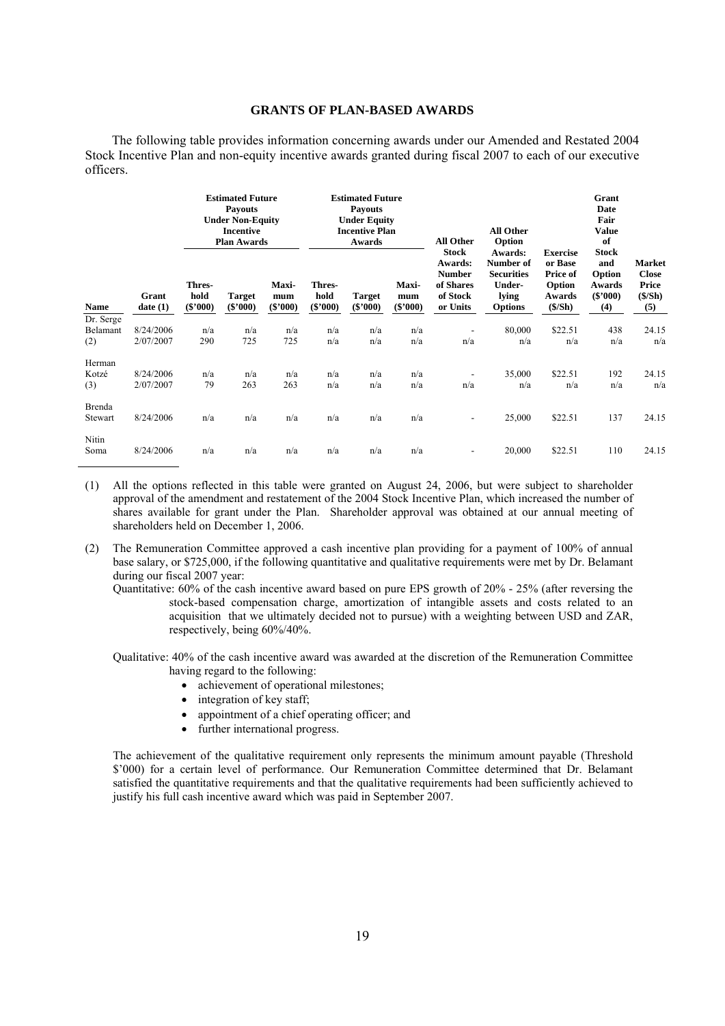### **GRANTS OF PLAN-BASED AWARDS**

The following table provides information concerning awards under our Amended and Restated 2004 Stock Incentive Plan and non-equity incentive awards granted during fiscal 2007 to each of our executive officers.

|                   |                        | <b>Estimated Future</b><br><b>Payouts</b><br><b>Under Non-Equity</b><br><b>Incentive</b><br><b>Plan Awards</b> |                             |                            |                              | <b>Estimated Future</b><br><b>Payouts</b><br><b>Under Equity</b><br><b>Incentive Plan</b><br>Awards |                                   | <b>All Other</b>                                                              | All Other<br>Option                                                            |                                                                      | Grant<br>Date<br>Fair<br><b>Value</b><br>of                  |                                                            |
|-------------------|------------------------|----------------------------------------------------------------------------------------------------------------|-----------------------------|----------------------------|------------------------------|-----------------------------------------------------------------------------------------------------|-----------------------------------|-------------------------------------------------------------------------------|--------------------------------------------------------------------------------|----------------------------------------------------------------------|--------------------------------------------------------------|------------------------------------------------------------|
| Name              | Grant<br>date(1)       | Thres-<br>hold<br>$(\$'000)$                                                                                   | <b>Target</b><br>$(\$'000)$ | Maxi-<br>mum<br>$(\$'000)$ | Thres-<br>hold<br>$(\$'000)$ | <b>Target</b><br>$(\$'000)$                                                                         | <b>Maxi-</b><br>mum<br>$(\$'000)$ | <b>Stock</b><br>Awards:<br><b>Number</b><br>of Shares<br>of Stock<br>or Units | Awards:<br>Number of<br><b>Securities</b><br>Under-<br>lying<br><b>Options</b> | <b>Exercise</b><br>or Base<br>Price of<br>Option<br>Awards<br>(S/Sh) | <b>Stock</b><br>and<br>Option<br>Awards<br>$(\$'000)$<br>(4) | <b>Market</b><br><b>Close</b><br>Price<br>$(\$/Sh)$<br>(5) |
| Dr. Serge         |                        |                                                                                                                |                             |                            |                              |                                                                                                     |                                   |                                                                               |                                                                                |                                                                      |                                                              |                                                            |
| Belamant<br>(2)   | 8/24/2006<br>2/07/2007 | n/a<br>290                                                                                                     | n/a<br>725                  | n/a<br>725                 | n/a<br>n/a                   | n/a<br>n/a                                                                                          | n/a<br>n/a                        | n/a                                                                           | 80,000<br>n/a                                                                  | \$22.51<br>n/a                                                       | 438<br>n/a                                                   | 24.15<br>n/a                                               |
| Herman            |                        |                                                                                                                |                             |                            |                              |                                                                                                     |                                   |                                                                               |                                                                                |                                                                      |                                                              |                                                            |
| Kotzé             | 8/24/2006              | n/a                                                                                                            | n/a                         | n/a                        | n/a                          | n/a                                                                                                 | n/a                               |                                                                               | 35,000                                                                         | \$22.51                                                              | 192                                                          | 24.15                                                      |
| (3)               | 2/07/2007              | 79                                                                                                             | 263                         | 263                        | n/a                          | n/a                                                                                                 | n/a                               | n/a                                                                           | n/a                                                                            | n/a                                                                  | n/a                                                          | n/a                                                        |
| Brenda<br>Stewart | 8/24/2006              | n/a                                                                                                            | n/a                         | n/a                        | n/a                          | n/a                                                                                                 | n/a                               | ۰                                                                             | 25,000                                                                         | \$22.51                                                              | 137                                                          | 24.15                                                      |
| Nitin<br>Soma     | 8/24/2006              | n/a                                                                                                            | n/a                         | n/a                        | n/a                          | n/a                                                                                                 | n/a                               |                                                                               | 20,000                                                                         | \$22.51                                                              | 110                                                          | 24.15                                                      |

- (1) All the options reflected in this table were granted on August 24, 2006, but were subject to shareholder approval of the amendment and restatement of the 2004 Stock Incentive Plan, which increased the number of shares available for grant under the Plan. Shareholder approval was obtained at our annual meeting of shareholders held on December 1, 2006.
- (2) The Remuneration Committee approved a cash incentive plan providing for a payment of 100% of annual base salary, or \$725,000, if the following quantitative and qualitative requirements were met by Dr. Belamant during our fiscal 2007 year:
	- Quantitative: 60% of the cash incentive award based on pure EPS growth of 20% 25% (after reversing the stock-based compensation charge, amortization of intangible assets and costs related to an acquisition that we ultimately decided not to pursue) with a weighting between USD and ZAR, respectively, being 60%/40%.
	- Qualitative: 40% of the cash incentive award was awarded at the discretion of the Remuneration Committee having regard to the following:
		- achievement of operational milestones;
		- integration of key staff;
		- appointment of a chief operating officer; and
		- further international progress.

The achievement of the qualitative requirement only represents the minimum amount payable (Threshold \$'000) for a certain level of performance. Our Remuneration Committee determined that Dr. Belamant satisfied the quantitative requirements and that the qualitative requirements had been sufficiently achieved to justify his full cash incentive award which was paid in September 2007.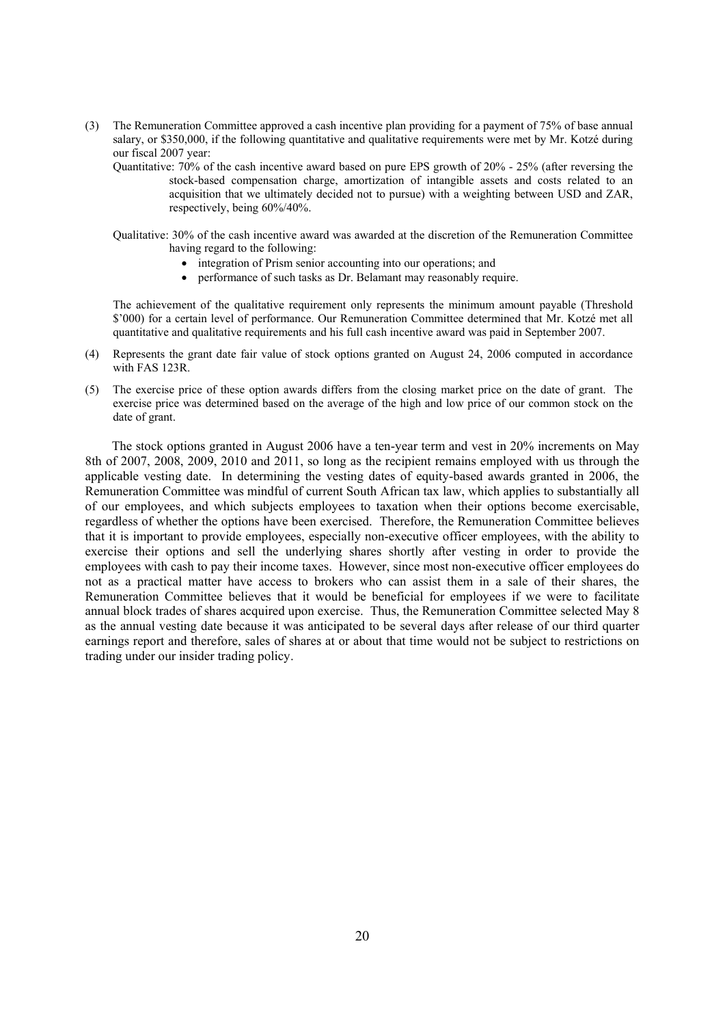- (3) The Remuneration Committee approved a cash incentive plan providing for a payment of 75% of base annual salary, or \$350,000, if the following quantitative and qualitative requirements were met by Mr. Kotzé during our fiscal 2007 year:
	- Quantitative: 70% of the cash incentive award based on pure EPS growth of 20% 25% (after reversing the stock-based compensation charge, amortization of intangible assets and costs related to an acquisition that we ultimately decided not to pursue) with a weighting between USD and ZAR, respectively, being 60%/40%.
	- Qualitative: 30% of the cash incentive award was awarded at the discretion of the Remuneration Committee having regard to the following:
		- integration of Prism senior accounting into our operations; and
		- performance of such tasks as Dr. Belamant may reasonably require.

The achievement of the qualitative requirement only represents the minimum amount payable (Threshold \$'000) for a certain level of performance. Our Remuneration Committee determined that Mr. Kotzé met all quantitative and qualitative requirements and his full cash incentive award was paid in September 2007.

- (4) Represents the grant date fair value of stock options granted on August 24, 2006 computed in accordance with FAS 123R.
- (5) The exercise price of these option awards differs from the closing market price on the date of grant. The exercise price was determined based on the average of the high and low price of our common stock on the date of grant.

The stock options granted in August 2006 have a ten-year term and vest in 20% increments on May 8th of 2007, 2008, 2009, 2010 and 2011, so long as the recipient remains employed with us through the applicable vesting date. In determining the vesting dates of equity-based awards granted in 2006, the Remuneration Committee was mindful of current South African tax law, which applies to substantially all of our employees, and which subjects employees to taxation when their options become exercisable, regardless of whether the options have been exercised. Therefore, the Remuneration Committee believes that it is important to provide employees, especially non-executive officer employees, with the ability to exercise their options and sell the underlying shares shortly after vesting in order to provide the employees with cash to pay their income taxes. However, since most non-executive officer employees do not as a practical matter have access to brokers who can assist them in a sale of their shares, the Remuneration Committee believes that it would be beneficial for employees if we were to facilitate annual block trades of shares acquired upon exercise. Thus, the Remuneration Committee selected May 8 as the annual vesting date because it was anticipated to be several days after release of our third quarter earnings report and therefore, sales of shares at or about that time would not be subject to restrictions on trading under our insider trading policy.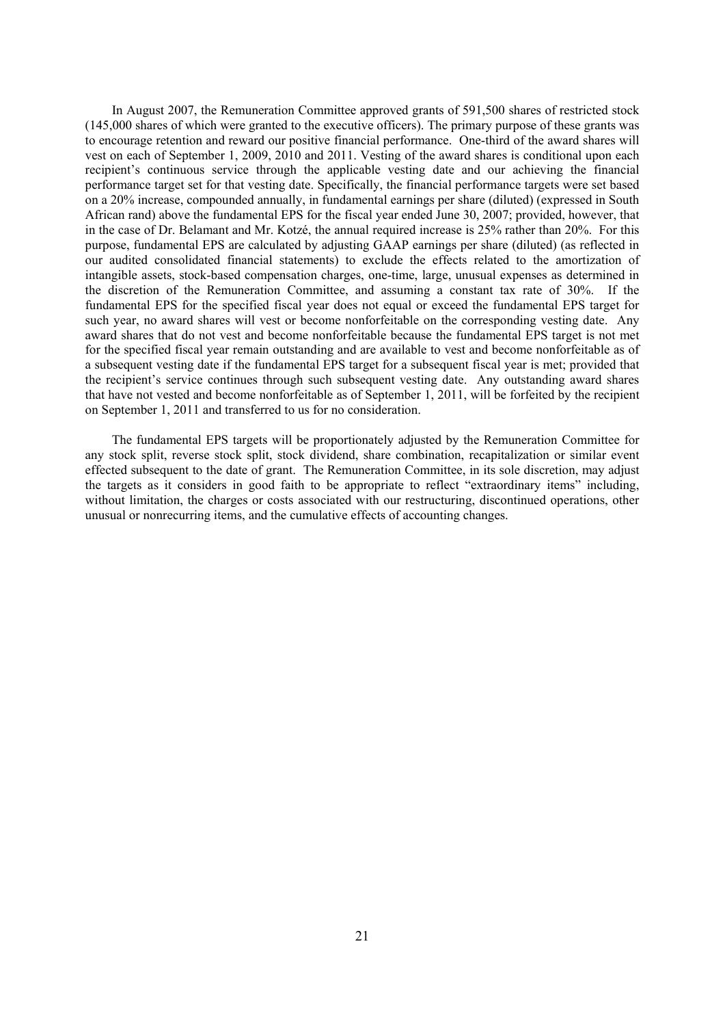In August 2007, the Remuneration Committee approved grants of 591,500 shares of restricted stock (145,000 shares of which were granted to the executive officers). The primary purpose of these grants was to encourage retention and reward our positive financial performance. One-third of the award shares will vest on each of September 1, 2009, 2010 and 2011. Vesting of the award shares is conditional upon each recipient's continuous service through the applicable vesting date and our achieving the financial performance target set for that vesting date. Specifically, the financial performance targets were set based on a 20% increase, compounded annually, in fundamental earnings per share (diluted) (expressed in South African rand) above the fundamental EPS for the fiscal year ended June 30, 2007; provided, however, that in the case of Dr. Belamant and Mr. Kotzé, the annual required increase is 25% rather than 20%. For this purpose, fundamental EPS are calculated by adjusting GAAP earnings per share (diluted) (as reflected in our audited consolidated financial statements) to exclude the effects related to the amortization of intangible assets, stock-based compensation charges, one-time, large, unusual expenses as determined in the discretion of the Remuneration Committee, and assuming a constant tax rate of 30%. If the fundamental EPS for the specified fiscal year does not equal or exceed the fundamental EPS target for such year, no award shares will vest or become nonforfeitable on the corresponding vesting date. Any award shares that do not vest and become nonforfeitable because the fundamental EPS target is not met for the specified fiscal year remain outstanding and are available to vest and become nonforfeitable as of a subsequent vesting date if the fundamental EPS target for a subsequent fiscal year is met; provided that the recipient's service continues through such subsequent vesting date. Any outstanding award shares that have not vested and become nonforfeitable as of September 1, 2011, will be forfeited by the recipient on September 1, 2011 and transferred to us for no consideration.

The fundamental EPS targets will be proportionately adjusted by the Remuneration Committee for any stock split, reverse stock split, stock dividend, share combination, recapitalization or similar event effected subsequent to the date of grant. The Remuneration Committee, in its sole discretion, may adjust the targets as it considers in good faith to be appropriate to reflect "extraordinary items" including, without limitation, the charges or costs associated with our restructuring, discontinued operations, other unusual or nonrecurring items, and the cumulative effects of accounting changes.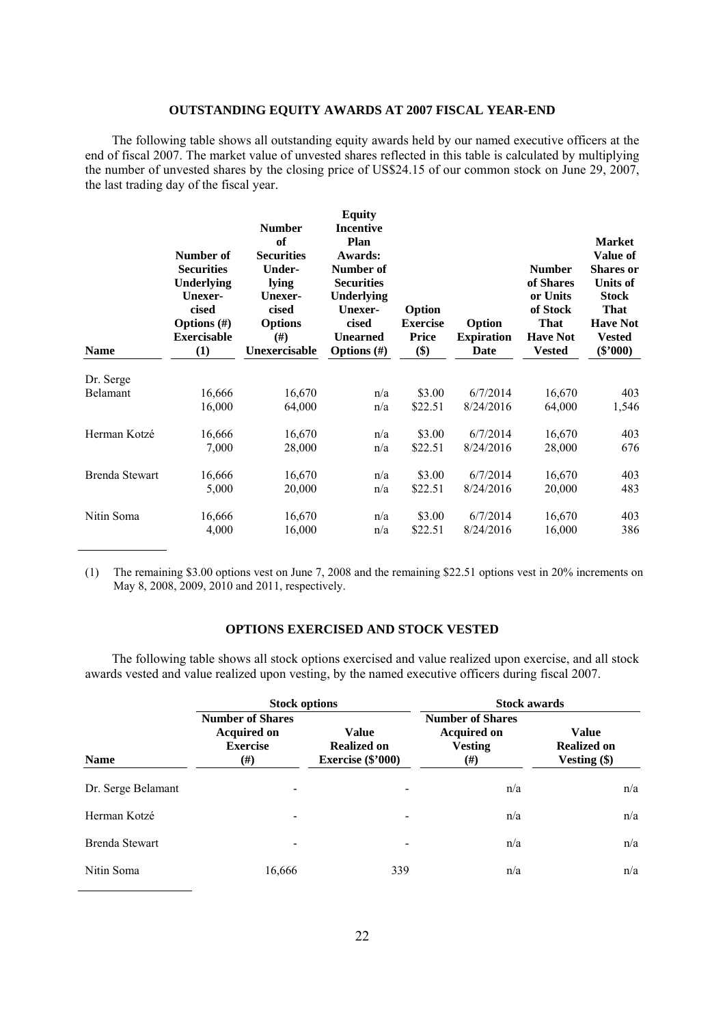### **OUTSTANDING EQUITY AWARDS AT 2007 FISCAL YEAR-END**

The following table shows all outstanding equity awards held by our named executive officers at the end of fiscal 2007. The market value of unvested shares reflected in this table is calculated by multiplying the number of unvested shares by the closing price of US\$24.15 of our common stock on June 29, 2007, the last trading day of the fiscal year.

| <b>Name</b>           | Number of<br><b>Securities</b><br>Underlying<br><b>Unexer-</b><br>cised<br>Options $(\#)$<br><b>Exercisable</b><br>(1) | <b>Number</b><br>of<br><b>Securities</b><br><b>Under-</b><br>lying<br>Unexer-<br>cised<br><b>Options</b><br>#)<br>Unexercisable | <b>Equity</b><br><b>Incentive</b><br>Plan<br>Awards:<br>Number of<br><b>Securities</b><br><b>Underlying</b><br>Unexer-<br>cised<br><b>Unearned</b><br>Options $(\#)$ | Option<br><b>Exercise</b><br><b>Price</b><br>\$) | Option<br><b>Expiration</b><br>Date | <b>Number</b><br>of Shares<br>or Units<br>of Stock<br><b>That</b><br><b>Have Not</b><br><b>Vested</b> | <b>Market</b><br><b>Value of</b><br><b>Shares or</b><br><b>Units of</b><br><b>Stock</b><br><b>That</b><br><b>Have Not</b><br><b>Vested</b><br>$(\$'000)$ |
|-----------------------|------------------------------------------------------------------------------------------------------------------------|---------------------------------------------------------------------------------------------------------------------------------|----------------------------------------------------------------------------------------------------------------------------------------------------------------------|--------------------------------------------------|-------------------------------------|-------------------------------------------------------------------------------------------------------|----------------------------------------------------------------------------------------------------------------------------------------------------------|
| Dr. Serge             |                                                                                                                        |                                                                                                                                 |                                                                                                                                                                      |                                                  |                                     |                                                                                                       |                                                                                                                                                          |
| Belamant              | 16,666                                                                                                                 | 16,670                                                                                                                          | n/a                                                                                                                                                                  | \$3.00                                           | 6/7/2014                            | 16,670                                                                                                | 403                                                                                                                                                      |
|                       | 16,000                                                                                                                 | 64,000                                                                                                                          | n/a                                                                                                                                                                  | \$22.51                                          | 8/24/2016                           | 64,000                                                                                                | 1,546                                                                                                                                                    |
| Herman Kotzé          | 16,666                                                                                                                 | 16,670                                                                                                                          | n/a                                                                                                                                                                  | \$3.00                                           | 6/7/2014                            | 16,670                                                                                                | 403                                                                                                                                                      |
|                       | 7,000                                                                                                                  | 28,000                                                                                                                          | n/a                                                                                                                                                                  | \$22.51                                          | 8/24/2016                           | 28,000                                                                                                | 676                                                                                                                                                      |
| <b>Brenda Stewart</b> | 16,666                                                                                                                 | 16,670                                                                                                                          | n/a                                                                                                                                                                  | \$3.00                                           | 6/7/2014                            | 16,670                                                                                                | 403                                                                                                                                                      |
|                       | 5,000                                                                                                                  | 20,000                                                                                                                          | n/a                                                                                                                                                                  | \$22.51                                          | 8/24/2016                           | 20,000                                                                                                | 483                                                                                                                                                      |
| Nitin Soma            | 16,666                                                                                                                 | 16,670                                                                                                                          | n/a                                                                                                                                                                  | \$3.00                                           | 6/7/2014                            | 16,670                                                                                                | 403                                                                                                                                                      |
|                       | 4,000                                                                                                                  | 16,000                                                                                                                          | n/a                                                                                                                                                                  | \$22.51                                          | 8/24/2016                           | 16,000                                                                                                | 386                                                                                                                                                      |

(1) The remaining \$3.00 options vest on June 7, 2008 and the remaining \$22.51 options vest in 20% increments on May 8, 2008, 2009, 2010 and 2011, respectively.

### **OPTIONS EXERCISED AND STOCK VESTED**

The following table shows all stock options exercised and value realized upon exercise, and all stock awards vested and value realized upon vesting, by the named executive officers during fiscal 2007.

|                    | <b>Stock options</b>                                                    | <b>Stock awards</b>                                       |                                                                             |                                                      |  |
|--------------------|-------------------------------------------------------------------------|-----------------------------------------------------------|-----------------------------------------------------------------------------|------------------------------------------------------|--|
| <b>Name</b>        | <b>Number of Shares</b><br><b>Acquired on</b><br><b>Exercise</b><br>(#) | <b>Value</b><br><b>Realized on</b><br>Exercise $(\$'000)$ | <b>Number of Shares</b><br><b>Acquired on</b><br><b>Vesting</b><br>$^{(#)}$ | <b>Value</b><br><b>Realized on</b><br>Vesting $(\$)$ |  |
| Dr. Serge Belamant | -                                                                       |                                                           | n/a                                                                         | n/a                                                  |  |
| Herman Kotzé       |                                                                         |                                                           | n/a                                                                         | n/a                                                  |  |
| Brenda Stewart     | -                                                                       | $\qquad \qquad \blacksquare$                              | n/a                                                                         | n/a                                                  |  |
| Nitin Soma         | 16,666                                                                  | 339                                                       | n/a                                                                         | n/a                                                  |  |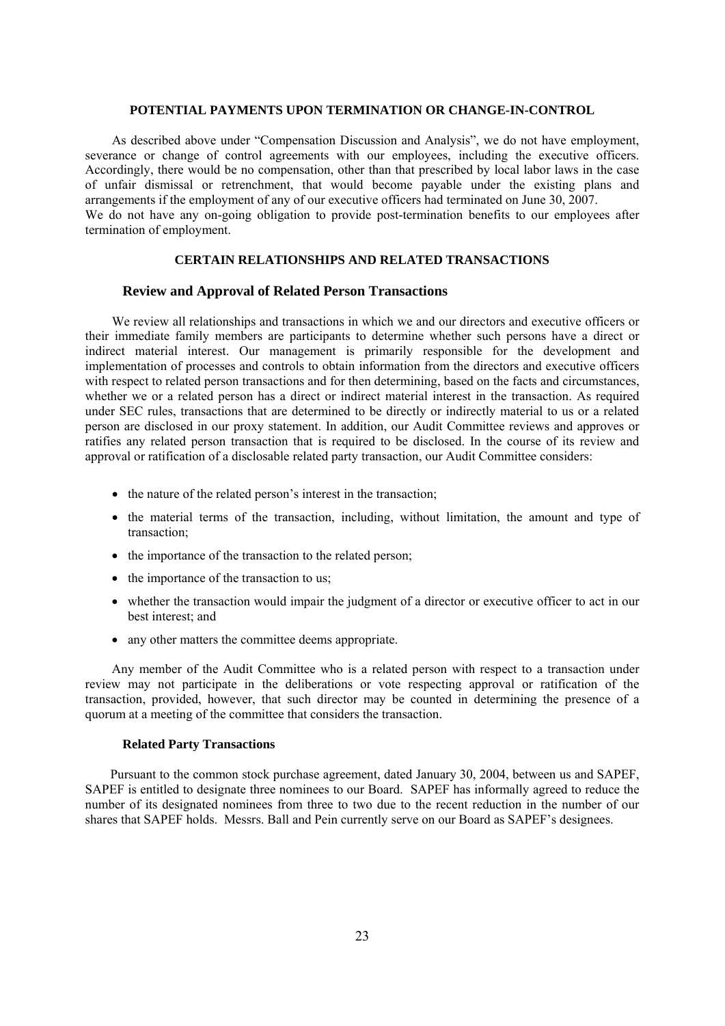#### **POTENTIAL PAYMENTS UPON TERMINATION OR CHANGE-IN-CONTROL**

As described above under "Compensation Discussion and Analysis", we do not have employment, severance or change of control agreements with our employees, including the executive officers. Accordingly, there would be no compensation, other than that prescribed by local labor laws in the case of unfair dismissal or retrenchment, that would become payable under the existing plans and arrangements if the employment of any of our executive officers had terminated on June 30, 2007. We do not have any on-going obligation to provide post-termination benefits to our employees after termination of employment.

### **CERTAIN RELATIONSHIPS AND RELATED TRANSACTIONS**

### **Review and Approval of Related Person Transactions**

We review all relationships and transactions in which we and our directors and executive officers or their immediate family members are participants to determine whether such persons have a direct or indirect material interest. Our management is primarily responsible for the development and implementation of processes and controls to obtain information from the directors and executive officers with respect to related person transactions and for then determining, based on the facts and circumstances, whether we or a related person has a direct or indirect material interest in the transaction. As required under SEC rules, transactions that are determined to be directly or indirectly material to us or a related person are disclosed in our proxy statement. In addition, our Audit Committee reviews and approves or ratifies any related person transaction that is required to be disclosed. In the course of its review and approval or ratification of a disclosable related party transaction, our Audit Committee considers:

- the nature of the related person's interest in the transaction;
- the material terms of the transaction, including, without limitation, the amount and type of transaction;
- the importance of the transaction to the related person:
- the importance of the transaction to us;
- whether the transaction would impair the judgment of a director or executive officer to act in our best interest; and
- any other matters the committee deems appropriate.

Any member of the Audit Committee who is a related person with respect to a transaction under review may not participate in the deliberations or vote respecting approval or ratification of the transaction, provided, however, that such director may be counted in determining the presence of a quorum at a meeting of the committee that considers the transaction.

#### **Related Party Transactions**

Pursuant to the common stock purchase agreement, dated January 30, 2004, between us and SAPEF, SAPEF is entitled to designate three nominees to our Board. SAPEF has informally agreed to reduce the number of its designated nominees from three to two due to the recent reduction in the number of our shares that SAPEF holds. Messrs. Ball and Pein currently serve on our Board as SAPEF's designees.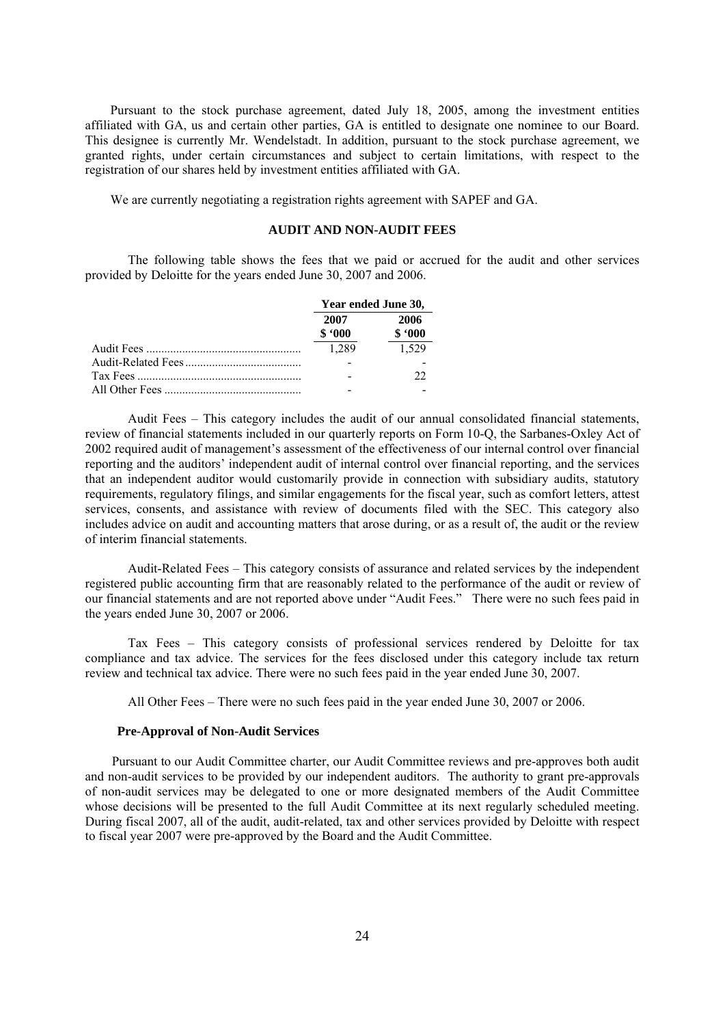Pursuant to the stock purchase agreement, dated July 18, 2005, among the investment entities affiliated with GA, us and certain other parties, GA is entitled to designate one nominee to our Board. This designee is currently Mr. Wendelstadt. In addition, pursuant to the stock purchase agreement, we granted rights, under certain circumstances and subject to certain limitations, with respect to the registration of our shares held by investment entities affiliated with GA.

We are currently negotiating a registration rights agreement with SAPEF and GA.

### **AUDIT AND NON-AUDIT FEES**

The following table shows the fees that we paid or accrued for the audit and other services provided by Deloitte for the years ended June 30, 2007 and 2006.

|                | Year ended June 30, |  |  |
|----------------|---------------------|--|--|
| 2007<br>\$.000 | 2006<br>\$.000      |  |  |
| 1.289          | 1.529               |  |  |
|                |                     |  |  |
|                | 22                  |  |  |
|                |                     |  |  |

Audit Fees – This category includes the audit of our annual consolidated financial statements, review of financial statements included in our quarterly reports on Form 10-Q, the Sarbanes-Oxley Act of 2002 required audit of management's assessment of the effectiveness of our internal control over financial reporting and the auditors' independent audit of internal control over financial reporting, and the services that an independent auditor would customarily provide in connection with subsidiary audits, statutory requirements, regulatory filings, and similar engagements for the fiscal year, such as comfort letters, attest services, consents, and assistance with review of documents filed with the SEC. This category also includes advice on audit and accounting matters that arose during, or as a result of, the audit or the review of interim financial statements.

Audit-Related Fees – This category consists of assurance and related services by the independent registered public accounting firm that are reasonably related to the performance of the audit or review of our financial statements and are not reported above under "Audit Fees." There were no such fees paid in the years ended June 30, 2007 or 2006.

Tax Fees – This category consists of professional services rendered by Deloitte for tax compliance and tax advice. The services for the fees disclosed under this category include tax return review and technical tax advice. There were no such fees paid in the year ended June 30, 2007.

All Other Fees – There were no such fees paid in the year ended June 30, 2007 or 2006.

### **Pre-Approval of Non-Audit Services**

Pursuant to our Audit Committee charter, our Audit Committee reviews and pre-approves both audit and non-audit services to be provided by our independent auditors. The authority to grant pre-approvals of non-audit services may be delegated to one or more designated members of the Audit Committee whose decisions will be presented to the full Audit Committee at its next regularly scheduled meeting. During fiscal 2007, all of the audit, audit-related, tax and other services provided by Deloitte with respect to fiscal year 2007 were pre-approved by the Board and the Audit Committee.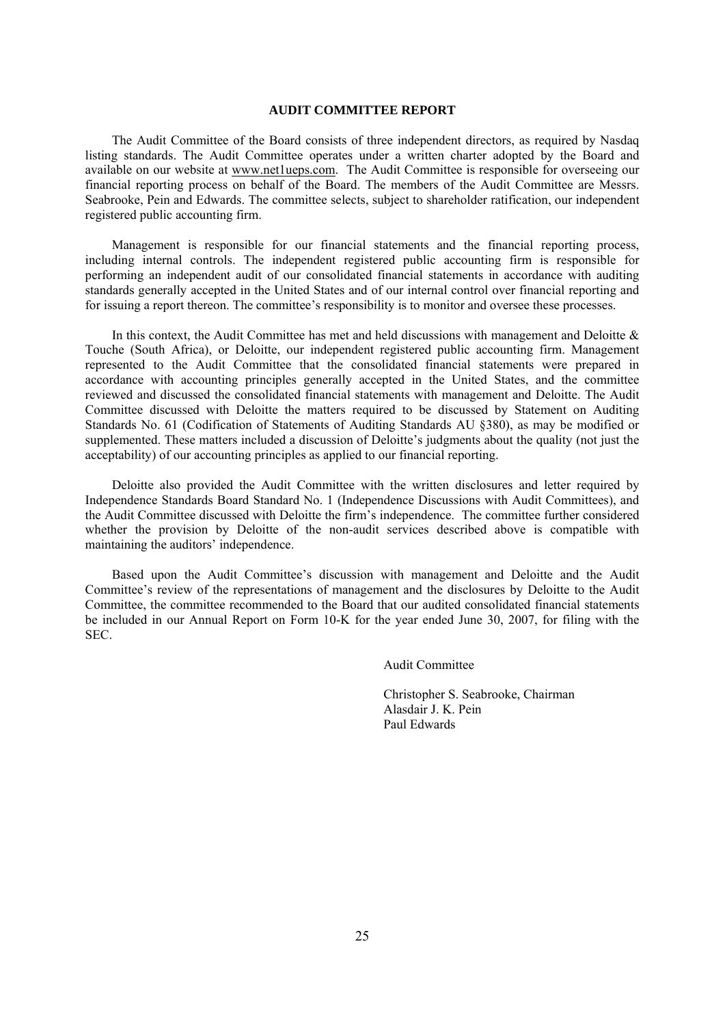### **AUDIT COMMITTEE REPORT**

The Audit Committee of the Board consists of three independent directors, as required by Nasdaq listing standards. The Audit Committee operates under a written charter adopted by the Board and available on our website at www.net1ueps.com. The Audit Committee is responsible for overseeing our financial reporting process on behalf of the Board. The members of the Audit Committee are Messrs. Seabrooke, Pein and Edwards. The committee selects, subject to shareholder ratification, our independent registered public accounting firm.

Management is responsible for our financial statements and the financial reporting process, including internal controls. The independent registered public accounting firm is responsible for performing an independent audit of our consolidated financial statements in accordance with auditing standards generally accepted in the United States and of our internal control over financial reporting and for issuing a report thereon. The committee's responsibility is to monitor and oversee these processes.

In this context, the Audit Committee has met and held discussions with management and Deloitte  $\&$ Touche (South Africa), or Deloitte, our independent registered public accounting firm. Management represented to the Audit Committee that the consolidated financial statements were prepared in accordance with accounting principles generally accepted in the United States, and the committee reviewed and discussed the consolidated financial statements with management and Deloitte. The Audit Committee discussed with Deloitte the matters required to be discussed by Statement on Auditing Standards No. 61 (Codification of Statements of Auditing Standards AU §380), as may be modified or supplemented. These matters included a discussion of Deloitte's judgments about the quality (not just the acceptability) of our accounting principles as applied to our financial reporting.

Deloitte also provided the Audit Committee with the written disclosures and letter required by Independence Standards Board Standard No. 1 (Independence Discussions with Audit Committees), and the Audit Committee discussed with Deloitte the firm's independence. The committee further considered whether the provision by Deloitte of the non-audit services described above is compatible with maintaining the auditors' independence.

Based upon the Audit Committee's discussion with management and Deloitte and the Audit Committee's review of the representations of management and the disclosures by Deloitte to the Audit Committee, the committee recommended to the Board that our audited consolidated financial statements be included in our Annual Report on Form 10-K for the year ended June 30, 2007, for filing with the SEC.

Audit Committee

 Christopher S. Seabrooke, Chairman Alasdair J. K. Pein Paul Edwards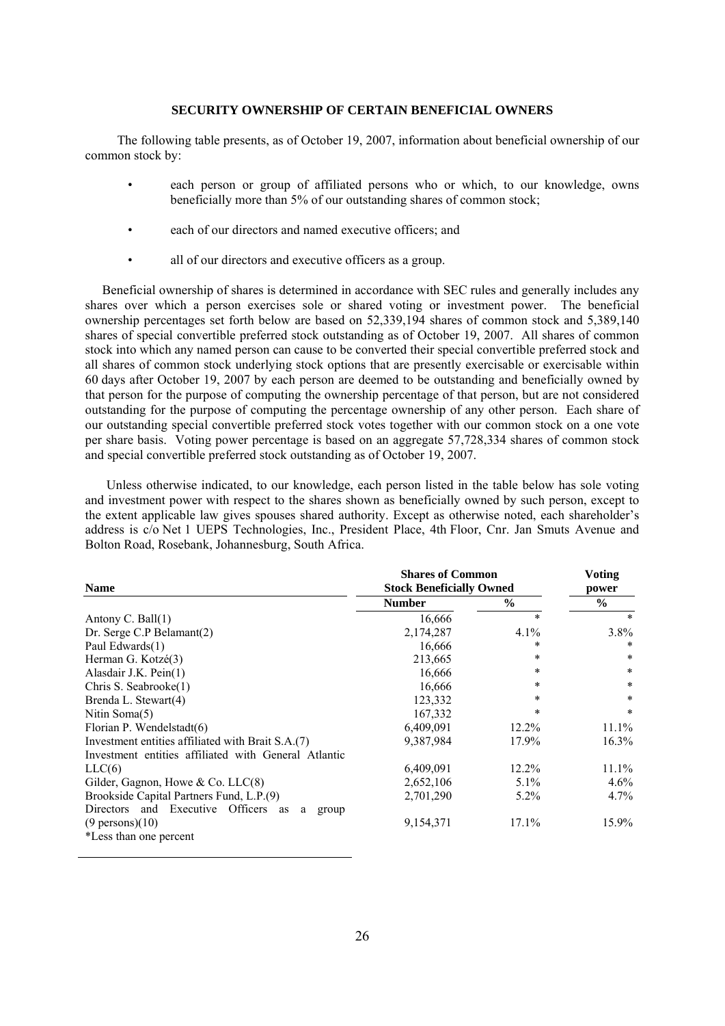### **SECURITY OWNERSHIP OF CERTAIN BENEFICIAL OWNERS**

The following table presents, as of October 19, 2007, information about beneficial ownership of our common stock by:

- each person or group of affiliated persons who or which, to our knowledge, owns beneficially more than 5% of our outstanding shares of common stock;
- each of our directors and named executive officers; and
- all of our directors and executive officers as a group.

Beneficial ownership of shares is determined in accordance with SEC rules and generally includes any shares over which a person exercises sole or shared voting or investment power. The beneficial ownership percentages set forth below are based on 52,339,194 shares of common stock and 5,389,140 shares of special convertible preferred stock outstanding as of October 19, 2007. All shares of common stock into which any named person can cause to be converted their special convertible preferred stock and all shares of common stock underlying stock options that are presently exercisable or exercisable within 60 days after October 19, 2007 by each person are deemed to be outstanding and beneficially owned by that person for the purpose of computing the ownership percentage of that person, but are not considered outstanding for the purpose of computing the percentage ownership of any other person. Each share of our outstanding special convertible preferred stock votes together with our common stock on a one vote per share basis. Voting power percentage is based on an aggregate 57,728,334 shares of common stock and special convertible preferred stock outstanding as of October 19, 2007.

Unless otherwise indicated, to our knowledge, each person listed in the table below has sole voting and investment power with respect to the shares shown as beneficially owned by such person, except to the extent applicable law gives spouses shared authority. Except as otherwise noted, each shareholder's address is c/o Net 1 UEPS Technologies, Inc., President Place, 4th Floor, Cnr. Jan Smuts Avenue and Bolton Road, Rosebank, Johannesburg, South Africa.

|                                                      | <b>Shares of Common</b>         | <b>Voting</b> |               |
|------------------------------------------------------|---------------------------------|---------------|---------------|
| <b>Name</b>                                          | <b>Stock Beneficially Owned</b> | power         |               |
|                                                      | <b>Number</b>                   | $\%$          | $\frac{6}{6}$ |
| Antony C. Ball $(1)$                                 | 16,666                          | $\ast$        | $\ast$        |
| Dr. Serge C.P Belamant(2)                            | 2,174,287                       | 4.1%          | $3.8\%$       |
| Paul Edwards(1)                                      | 16,666                          | *             | ∗             |
| Herman G. Kotzé(3)                                   | 213,665                         | $\ast$        | *             |
| Alasdair J.K. Pein(1)                                | 16,666                          | $\ast$        | $\ast$        |
| Chris S. Seabrooke(1)                                | 16,666                          | $\ast$        | $\ast$        |
| Brenda L. Stewart(4)                                 | 123,332                         | $\ast$        | *             |
| Nitin Soma(5)                                        | 167,332                         | *             | *             |
| Florian P. Wendelstadt(6)                            | 6,409,091                       | 12.2%         | 11.1%         |
| Investment entities affiliated with Brait S.A.(7)    | 9,387,984                       | 17.9%         | $16.3\%$      |
| Investment entities affiliated with General Atlantic |                                 |               |               |
| LLC(6)                                               | 6,409,091                       | 12.2%         | $11.1\%$      |
| Gilder, Gagnon, Howe & Co. $LLC(8)$                  | 2,652,106                       | $5.1\%$       | $4.6\%$       |
| Brookside Capital Partners Fund, L.P.(9)             | 2,701,290                       | $5.2\%$       | $4.7\%$       |
| Directors and Executive Officers<br>as<br>a<br>group |                                 |               |               |
| $(9 \text{ persons})$ (10)                           | 9,154,371                       | 17.1%         | 15.9%         |
| *Less than one percent                               |                                 |               |               |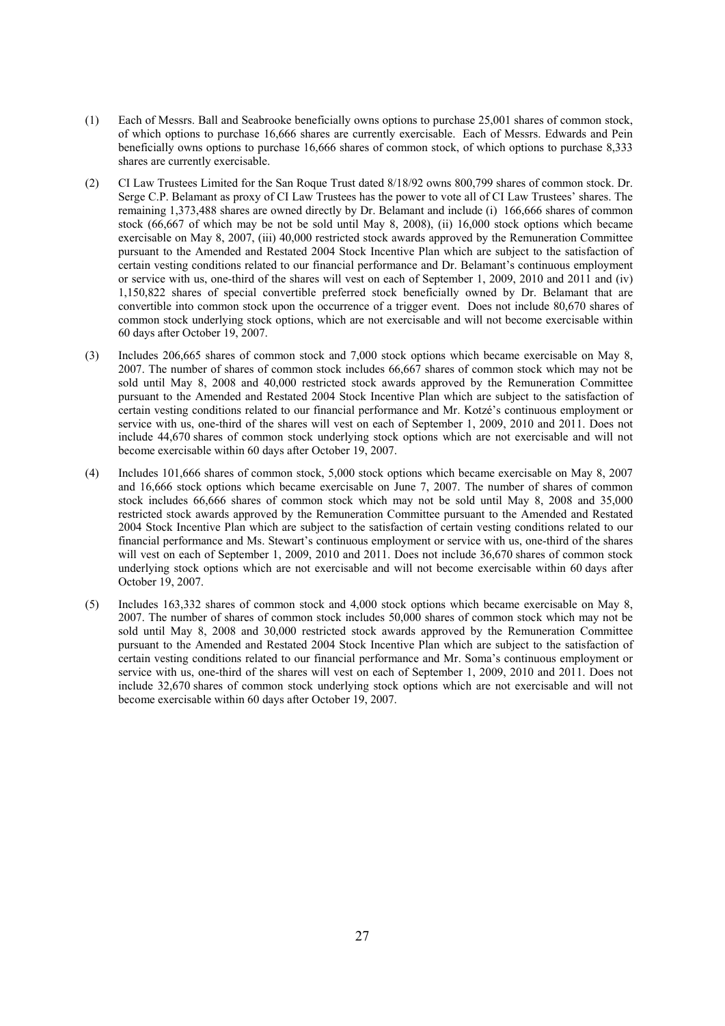- (1) Each of Messrs. Ball and Seabrooke beneficially owns options to purchase 25,001 shares of common stock, of which options to purchase 16,666 shares are currently exercisable. Each of Messrs. Edwards and Pein beneficially owns options to purchase 16,666 shares of common stock, of which options to purchase 8,333 shares are currently exercisable.
- (2) CI Law Trustees Limited for the San Roque Trust dated 8/18/92 owns 800,799 shares of common stock. Dr. Serge C.P. Belamant as proxy of CI Law Trustees has the power to vote all of CI Law Trustees' shares. The remaining 1,373,488 shares are owned directly by Dr. Belamant and include (i) 166,666 shares of common stock (66,667 of which may be not be sold until May 8, 2008), (ii) 16,000 stock options which became exercisable on May 8, 2007, (iii) 40,000 restricted stock awards approved by the Remuneration Committee pursuant to the Amended and Restated 2004 Stock Incentive Plan which are subject to the satisfaction of certain vesting conditions related to our financial performance and Dr. Belamant's continuous employment or service with us, one-third of the shares will vest on each of September 1, 2009, 2010 and 2011 and (iv) 1,150,822 shares of special convertible preferred stock beneficially owned by Dr. Belamant that are convertible into common stock upon the occurrence of a trigger event. Does not include 80,670 shares of common stock underlying stock options, which are not exercisable and will not become exercisable within 60 days after October 19, 2007.
- (3) Includes 206,665 shares of common stock and 7,000 stock options which became exercisable on May 8, 2007. The number of shares of common stock includes 66,667 shares of common stock which may not be sold until May 8, 2008 and 40,000 restricted stock awards approved by the Remuneration Committee pursuant to the Amended and Restated 2004 Stock Incentive Plan which are subject to the satisfaction of certain vesting conditions related to our financial performance and Mr. Kotzé's continuous employment or service with us, one-third of the shares will vest on each of September 1, 2009, 2010 and 2011. Does not include 44,670 shares of common stock underlying stock options which are not exercisable and will not become exercisable within 60 days after October 19, 2007.
- (4) Includes 101,666 shares of common stock, 5,000 stock options which became exercisable on May 8, 2007 and 16,666 stock options which became exercisable on June 7, 2007. The number of shares of common stock includes 66,666 shares of common stock which may not be sold until May 8, 2008 and 35,000 restricted stock awards approved by the Remuneration Committee pursuant to the Amended and Restated 2004 Stock Incentive Plan which are subject to the satisfaction of certain vesting conditions related to our financial performance and Ms. Stewart's continuous employment or service with us, one-third of the shares will vest on each of September 1, 2009, 2010 and 2011. Does not include 36,670 shares of common stock underlying stock options which are not exercisable and will not become exercisable within 60 days after October 19, 2007.
- (5) Includes 163,332 shares of common stock and 4,000 stock options which became exercisable on May 8, 2007. The number of shares of common stock includes 50,000 shares of common stock which may not be sold until May 8, 2008 and 30,000 restricted stock awards approved by the Remuneration Committee pursuant to the Amended and Restated 2004 Stock Incentive Plan which are subject to the satisfaction of certain vesting conditions related to our financial performance and Mr. Soma's continuous employment or service with us, one-third of the shares will vest on each of September 1, 2009, 2010 and 2011. Does not include 32,670 shares of common stock underlying stock options which are not exercisable and will not become exercisable within 60 days after October 19, 2007.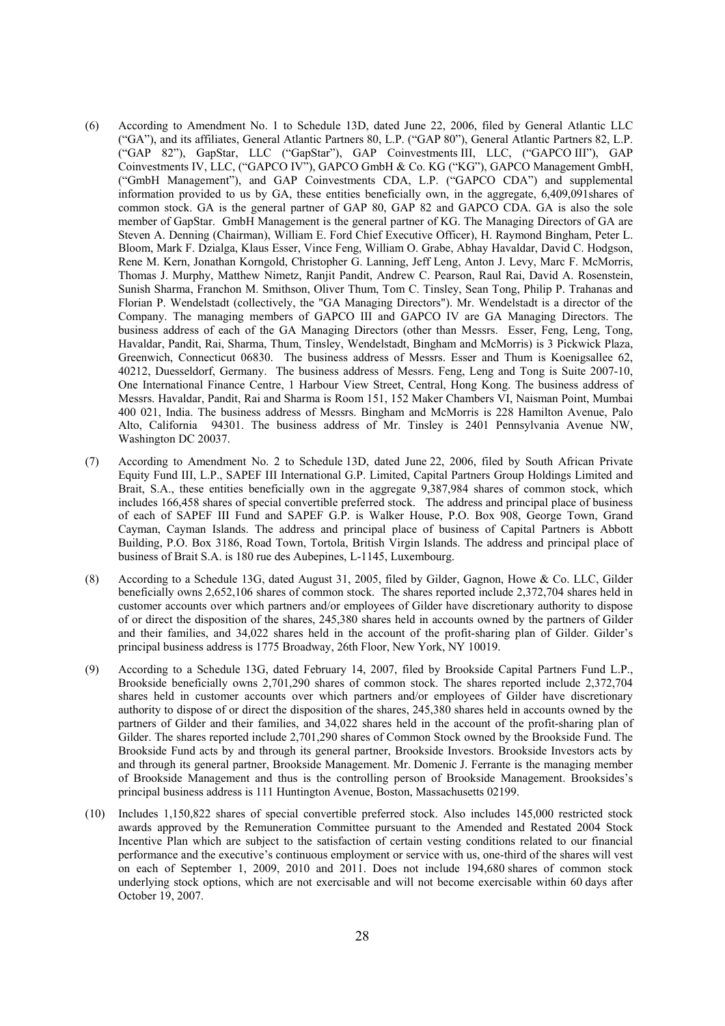- (6) According to Amendment No. 1 to Schedule 13D, dated June 22, 2006, filed by General Atlantic LLC ("GA"), and its affiliates, General Atlantic Partners 80, L.P. ("GAP 80"), General Atlantic Partners 82, L.P. ("GAP 82"), GapStar, LLC ("GapStar"), GAP Coinvestments III, LLC, ("GAPCO III"), GAP Coinvestments IV, LLC, ("GAPCO IV"), GAPCO GmbH & Co. KG ("KG"), GAPCO Management GmbH, ("GmbH Management"), and GAP Coinvestments CDA, L.P. ("GAPCO CDA") and supplemental information provided to us by GA, these entities beneficially own, in the aggregate, 6,409,091shares of common stock. GA is the general partner of GAP 80, GAP 82 and GAPCO CDA. GA is also the sole member of GapStar. GmbH Management is the general partner of KG. The Managing Directors of GA are Steven A. Denning (Chairman), William E. Ford Chief Executive Officer), H. Raymond Bingham, Peter L. Bloom, Mark F. Dzialga, Klaus Esser, Vince Feng, William O. Grabe, Abhay Havaldar, David C. Hodgson, Rene M. Kern, Jonathan Korngold, Christopher G. Lanning, Jeff Leng, Anton J. Levy, Marc F. McMorris, Thomas J. Murphy, Matthew Nimetz, Ranjit Pandit, Andrew C. Pearson, Raul Rai, David A. Rosenstein, Sunish Sharma, Franchon M. Smithson, Oliver Thum, Tom C. Tinsley, Sean Tong, Philip P. Trahanas and Florian P. Wendelstadt (collectively, the "GA Managing Directors"). Mr. Wendelstadt is a director of the Company. The managing members of GAPCO III and GAPCO IV are GA Managing Directors. The business address of each of the GA Managing Directors (other than Messrs. Esser, Feng, Leng, Tong, Havaldar, Pandit, Rai, Sharma, Thum, Tinsley, Wendelstadt, Bingham and McMorris) is 3 Pickwick Plaza, Greenwich, Connecticut 06830. The business address of Messrs. Esser and Thum is Koenigsallee 62, 40212, Duesseldorf, Germany. The business address of Messrs. Feng, Leng and Tong is Suite 2007-10, One International Finance Centre, 1 Harbour View Street, Central, Hong Kong. The business address of Messrs. Havaldar, Pandit, Rai and Sharma is Room 151, 152 Maker Chambers VI, Naisman Point, Mumbai 400 021, India. The business address of Messrs. Bingham and McMorris is 228 Hamilton Avenue, Palo Alto, California 94301. The business address of Mr. Tinsley is 2401 Pennsylvania Avenue NW, Washington DC 20037.
- (7) According to Amendment No. 2 to Schedule 13D, dated June 22, 2006, filed by South African Private Equity Fund III, L.P., SAPEF III International G.P. Limited, Capital Partners Group Holdings Limited and Brait, S.A., these entities beneficially own in the aggregate 9,387,984 shares of common stock, which includes 166,458 shares of special convertible preferred stock. The address and principal place of business of each of SAPEF III Fund and SAPEF G.P. is Walker House, P.O. Box 908, George Town, Grand Cayman, Cayman Islands. The address and principal place of business of Capital Partners is Abbott Building, P.O. Box 3186, Road Town, Tortola, British Virgin Islands. The address and principal place of business of Brait S.A. is 180 rue des Aubepines, L-1145, Luxembourg.
- (8) According to a Schedule 13G, dated August 31, 2005, filed by Gilder, Gagnon, Howe & Co. LLC, Gilder beneficially owns 2,652,106 shares of common stock. The shares reported include 2,372,704 shares held in customer accounts over which partners and/or employees of Gilder have discretionary authority to dispose of or direct the disposition of the shares, 245,380 shares held in accounts owned by the partners of Gilder and their families, and 34,022 shares held in the account of the profit-sharing plan of Gilder. Gilder's principal business address is 1775 Broadway, 26th Floor, New York, NY 10019.
- (9) According to a Schedule 13G, dated February 14, 2007, filed by Brookside Capital Partners Fund L.P., Brookside beneficially owns 2,701,290 shares of common stock. The shares reported include 2,372,704 shares held in customer accounts over which partners and/or employees of Gilder have discretionary authority to dispose of or direct the disposition of the shares, 245,380 shares held in accounts owned by the partners of Gilder and their families, and 34,022 shares held in the account of the profit-sharing plan of Gilder. The shares reported include 2,701,290 shares of Common Stock owned by the Brookside Fund. The Brookside Fund acts by and through its general partner, Brookside Investors. Brookside Investors acts by and through its general partner, Brookside Management. Mr. Domenic J. Ferrante is the managing member of Brookside Management and thus is the controlling person of Brookside Management. Brooksides's principal business address is 111 Huntington Avenue, Boston, Massachusetts 02199.
- (10) Includes 1,150,822 shares of special convertible preferred stock. Also includes 145,000 restricted stock awards approved by the Remuneration Committee pursuant to the Amended and Restated 2004 Stock Incentive Plan which are subject to the satisfaction of certain vesting conditions related to our financial performance and the executive's continuous employment or service with us, one-third of the shares will vest on each of September 1, 2009, 2010 and 2011. Does not include 194,680 shares of common stock underlying stock options, which are not exercisable and will not become exercisable within 60 days after October 19, 2007.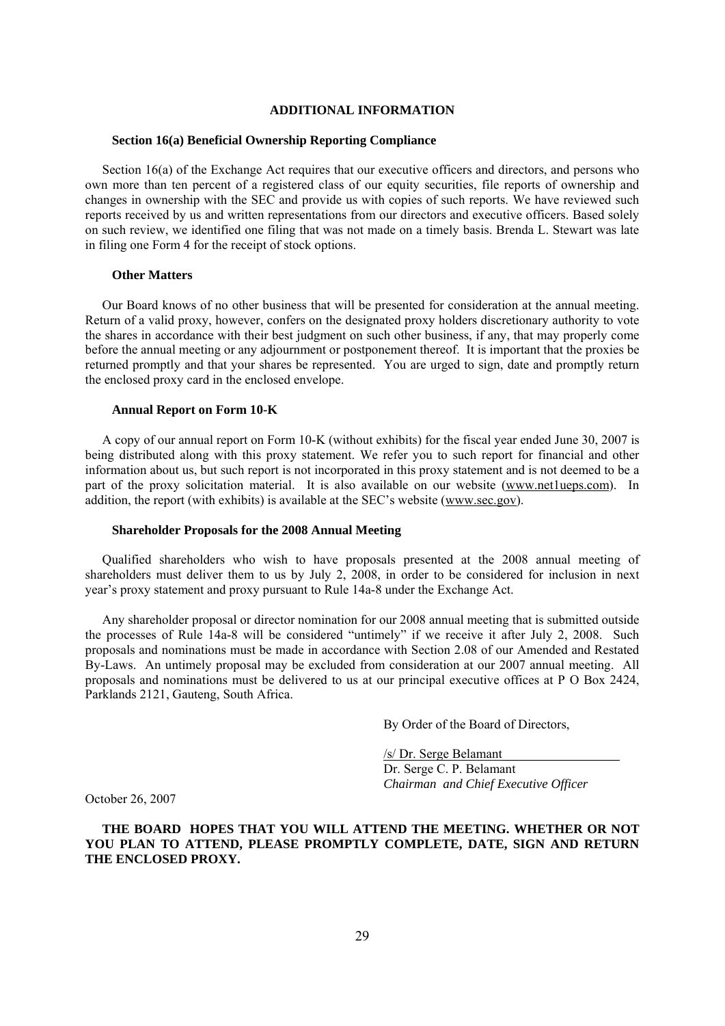### **ADDITIONAL INFORMATION**

#### **Section 16(a) Beneficial Ownership Reporting Compliance**

Section 16(a) of the Exchange Act requires that our executive officers and directors, and persons who own more than ten percent of a registered class of our equity securities, file reports of ownership and changes in ownership with the SEC and provide us with copies of such reports. We have reviewed such reports received by us and written representations from our directors and executive officers. Based solely on such review, we identified one filing that was not made on a timely basis. Brenda L. Stewart was late in filing one Form 4 for the receipt of stock options.

### **Other Matters**

Our Board knows of no other business that will be presented for consideration at the annual meeting. Return of a valid proxy, however, confers on the designated proxy holders discretionary authority to vote the shares in accordance with their best judgment on such other business, if any, that may properly come before the annual meeting or any adjournment or postponement thereof. It is important that the proxies be returned promptly and that your shares be represented. You are urged to sign, date and promptly return the enclosed proxy card in the enclosed envelope.

### **Annual Report on Form 10-K**

A copy of our annual report on Form 10-K (without exhibits) for the fiscal year ended June 30, 2007 is being distributed along with this proxy statement. We refer you to such report for financial and other information about us, but such report is not incorporated in this proxy statement and is not deemed to be a part of the proxy solicitation material. It is also available on our website (www.net1ueps.com). In addition, the report (with exhibits) is available at the SEC's website (www.sec.gov).

#### **Shareholder Proposals for the 2008 Annual Meeting**

Qualified shareholders who wish to have proposals presented at the 2008 annual meeting of shareholders must deliver them to us by July 2, 2008, in order to be considered for inclusion in next year's proxy statement and proxy pursuant to Rule 14a-8 under the Exchange Act.

Any shareholder proposal or director nomination for our 2008 annual meeting that is submitted outside the processes of Rule 14a-8 will be considered "untimely" if we receive it after July 2, 2008. Such proposals and nominations must be made in accordance with Section 2.08 of our Amended and Restated By-Laws. An untimely proposal may be excluded from consideration at our 2007 annual meeting. All proposals and nominations must be delivered to us at our principal executive offices at P O Box 2424, Parklands 2121, Gauteng, South Africa.

By Order of the Board of Directors,

 /s/ Dr. Serge Belamant\_\_\_\_\_\_\_\_\_\_\_\_\_\_\_\_\_\_ Dr. Serge C. P. Belamant *Chairman and Chief Executive Officer* 

October 26, 2007

**THE BOARD HOPES THAT YOU WILL ATTEND THE MEETING. WHETHER OR NOT YOU PLAN TO ATTEND, PLEASE PROMPTLY COMPLETE, DATE, SIGN AND RETURN THE ENCLOSED PROXY.**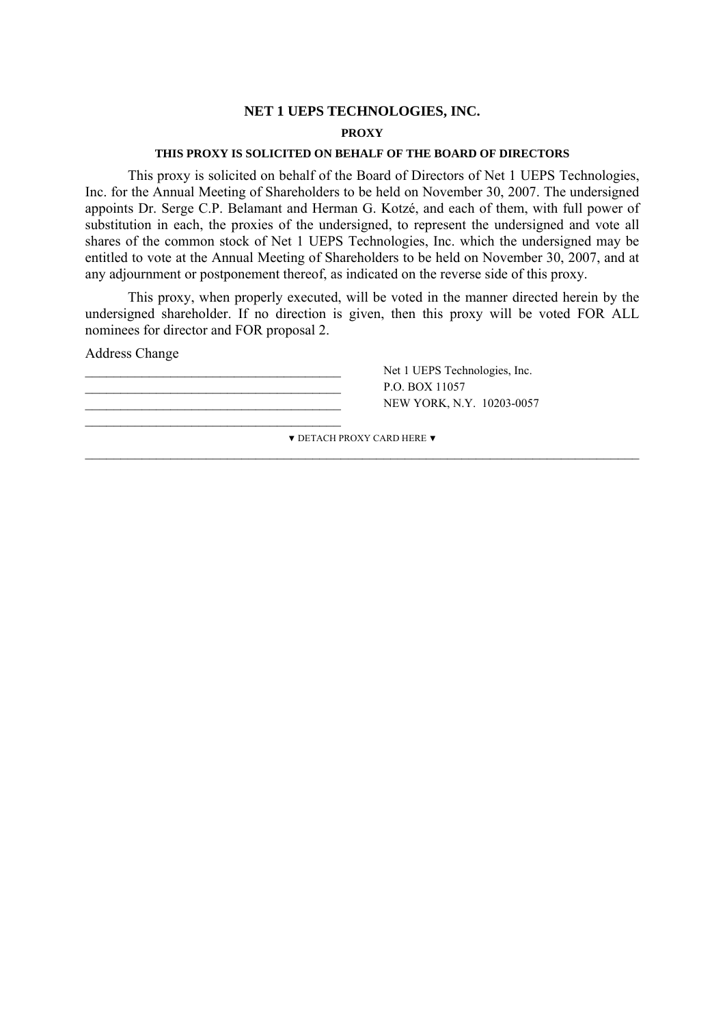# **NET 1 UEPS TECHNOLOGIES, INC.**

### **PROXY**

### **THIS PROXY IS SOLICITED ON BEHALF OF THE BOARD OF DIRECTORS**

This proxy is solicited on behalf of the Board of Directors of Net 1 UEPS Technologies, Inc. for the Annual Meeting of Shareholders to be held on November 30, 2007. The undersigned appoints Dr. Serge C.P. Belamant and Herman G. Kotzé, and each of them, with full power of substitution in each, the proxies of the undersigned, to represent the undersigned and vote all shares of the common stock of Net 1 UEPS Technologies, Inc. which the undersigned may be entitled to vote at the Annual Meeting of Shareholders to be held on November 30, 2007, and at any adjournment or postponement thereof, as indicated on the reverse side of this proxy.

This proxy, when properly executed, will be voted in the manner directed herein by the undersigned shareholder. If no direction is given, then this proxy will be voted FOR ALL nominees for director and FOR proposal 2.

Address Change

P.O. BOX 11057 NEW YORK, N.Y. 10203-0057  $\frac{1}{2}$  , and the set of the set of the set of the set of the set of the set of the set of the set of the set of the set of the set of the set of the set of the set of the set of the set of the set of the set of the set

Net 1 UEPS Technologies, Inc.

▼ DETACH PROXY CARD HERE ▼  $\_$  , and the contribution of the contribution of  $\mathcal{L}_\mathcal{A}$  , and the contribution of  $\mathcal{L}_\mathcal{A}$